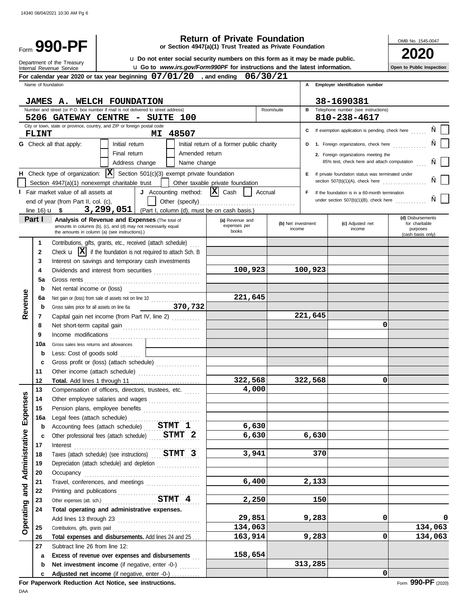# **990-PF**<br> **12020 1947(a)** Trust Treated as Private Foundation<br> **2020 1947(a) 1947(a) 1947(a) 1958 1947(a) 1959 1947 1947 1947 1947 1947 1947 1947 1947 1947 1947 1947 1947 1947 1947**

**or Section 4947(a)(1) Trust Treated as Private Foundation**

u **Go to** *www.irs.gov/Form990PF* **for instructions and the latest information.** u **Do not enter social security numbers on this form as it may be made public.**

**Open to Public Inspection**

OMB No. 1545-0047

|                |                    | Department of the Treasury<br>u Go to www.irs.gov/Form990PF for instructions and the latest information.<br>Internal Revenue Service                                                                                           |                                           |                              |         |                                                              | Open to Public Inspection  |
|----------------|--------------------|--------------------------------------------------------------------------------------------------------------------------------------------------------------------------------------------------------------------------------|-------------------------------------------|------------------------------|---------|--------------------------------------------------------------|----------------------------|
|                |                    | For calendar year 2020 or tax year beginning $07/01/20$ , and ending $06/30/21$                                                                                                                                                |                                           |                              |         |                                                              |                            |
|                | Name of foundation |                                                                                                                                                                                                                                |                                           |                              |         | A Employer identification number                             |                            |
|                |                    |                                                                                                                                                                                                                                |                                           |                              |         |                                                              |                            |
|                |                    | <b>JAMES A. WELCH FOUNDATION</b>                                                                                                                                                                                               |                                           |                              |         | 38-1690381                                                   |                            |
|                |                    | Number and street (or P.O. box number if mail is not delivered to street address)<br>5206 GATEWAY CENTRE - SUITE 100                                                                                                           |                                           | Room/suite                   |         | <b>B</b> Telephone number (see instructions)<br>810-238-4617 |                            |
|                |                    | City or town, state or province, country, and ZIP or foreign postal code                                                                                                                                                       |                                           |                              |         |                                                              |                            |
|                | <b>FLINT</b>       | 48507<br>MI                                                                                                                                                                                                                    |                                           |                              |         | C If exemption application is pending, check here            |                            |
|                |                    | <b>G</b> Check all that apply:<br>Initial return                                                                                                                                                                               | Initial return of a former public charity |                              |         | D 1. Foreign organizations, check here                       |                            |
|                |                    | Amended return<br>Final return                                                                                                                                                                                                 |                                           |                              |         | 2. Foreign organizations meeting the                         |                            |
|                |                    | Address change<br>Name change                                                                                                                                                                                                  |                                           |                              |         | 85% test, check here and attach computation                  |                            |
|                |                    | <b>H</b> Check type of organization: $ \mathbf{X} $ Section 501(c)(3) exempt private foundation                                                                                                                                |                                           |                              |         | E If private foundation status was terminated under          |                            |
|                |                    | Section 4947(a)(1) nonexempt charitable trust                                                                                                                                                                                  | Other taxable private foundation          |                              |         | section $507(b)(1)(A)$ , check here                          |                            |
|                |                    | J Accounting method: $ \mathbf{X} $ Cash<br>I Fair market value of all assets at                                                                                                                                               |                                           | Accrual                      | F.      | If the foundation is in a 60-month termination               |                            |
|                |                    | end of year (from Part II, col. (c),                                                                                                                                                                                           |                                           |                              |         | under section $507(b)(1)(B)$ , check here                    |                            |
|                |                    | $3,299,051$ (Part I, column (d), must be on cash basis.)<br>line $16)$ <b>u</b> \$                                                                                                                                             |                                           |                              |         |                                                              |                            |
|                | Part I             | <b>Analysis of Revenue and Expenses (The total of</b>                                                                                                                                                                          | (a) Revenue and                           |                              |         |                                                              | (d) Disbursements          |
|                |                    | amounts in columns (b), (c), and (d) may not necessarily equal<br>the amounts in column (a) (see instructions).)                                                                                                               | expenses per<br>books                     | (b) Net investment<br>income |         | (c) Adjusted net<br>income                                   | for charitable<br>purposes |
|                |                    |                                                                                                                                                                                                                                |                                           |                              |         |                                                              | (cash basis only)          |
|                | 1<br>$\mathbf{2}$  | Contributions, gifts, grants, etc., received (attach schedule)<br>Check $\mathbf{u}$ $\mathbf{X}$ if the foundation is not required to attach Sch. B                                                                           |                                           |                              |         |                                                              |                            |
|                | 3                  | Interest on savings and temporary cash investments                                                                                                                                                                             |                                           |                              |         |                                                              |                            |
|                | 4                  | Dividends and interest from securities                                                                                                                                                                                         | 100,923                                   |                              | 100,923 |                                                              |                            |
|                | 5a                 |                                                                                                                                                                                                                                |                                           |                              |         |                                                              |                            |
| Revenue        | b                  | Gross rents $\ldots$<br>Net rental income or (loss)                                                                                                                                                                            |                                           |                              |         |                                                              |                            |
|                | 6а                 | Net gain or (loss) from sale of assets not on line 10                                                                                                                                                                          | 221,645                                   |                              |         |                                                              |                            |
|                | b                  | Gross sales price for all assets on line 6a 370,732                                                                                                                                                                            |                                           |                              |         |                                                              |                            |
|                | 7                  | Capital gain net income (from Part IV, line 2)                                                                                                                                                                                 |                                           |                              | 221,645 |                                                              |                            |
|                | 8                  |                                                                                                                                                                                                                                |                                           |                              |         | 0                                                            |                            |
|                | 9                  |                                                                                                                                                                                                                                |                                           |                              |         |                                                              |                            |
|                | 10a                | Gross sales less returns and allowances                                                                                                                                                                                        |                                           |                              |         |                                                              |                            |
|                | b                  | Less: Cost of goods sold [1]                                                                                                                                                                                                   |                                           |                              |         |                                                              |                            |
|                | c                  | Gross profit or (loss) (attach schedule)                                                                                                                                                                                       |                                           |                              |         |                                                              |                            |
|                | 11                 |                                                                                                                                                                                                                                |                                           |                              |         |                                                              |                            |
|                | 12                 |                                                                                                                                                                                                                                | 322,568                                   |                              | 322,568 | 0                                                            |                            |
| n              | 13                 | Compensation of officers, directors, trustees, etc.                                                                                                                                                                            | 4,000                                     |                              |         |                                                              |                            |
| ۊ              | 14                 | Other employee salaries and wages                                                                                                                                                                                              |                                           |                              |         |                                                              |                            |
|                | 15                 | Pension plans, employee benefits                                                                                                                                                                                               |                                           |                              |         |                                                              |                            |
| Expen          | 16a                | Legal fees (attach schedule)                                                                                                                                                                                                   | 6,630                                     |                              |         |                                                              |                            |
|                | b                  | Accounting fees (attach schedule) STMT 1<br>Other professional fees (attach schedule) STMT 2                                                                                                                                   | 6,630                                     |                              | 6,630   |                                                              |                            |
| Administrative | c<br>17            | Interest                                                                                                                                                                                                                       |                                           |                              |         |                                                              |                            |
|                | 18                 | Taxes (attach schedule) (see instructions) STMT 3                                                                                                                                                                              | 3,941                                     |                              | 370     |                                                              |                            |
|                | 19                 | Depreciation (attach schedule) and depletion                                                                                                                                                                                   |                                           |                              |         |                                                              |                            |
|                | 20                 | Occupancy with a continuum and contain a contact of the contact of the contact of the contact of the contact of the contact of the contact of the contact of the contact of the contact of the contact of the contact of the c |                                           |                              |         |                                                              |                            |
|                | 21                 | Travel, conferences, and meetings                                                                                                                                                                                              | 6,400                                     |                              | 2,133   |                                                              |                            |
| and            | 22                 |                                                                                                                                                                                                                                |                                           |                              |         |                                                              |                            |
|                | 23                 | Printing and publications<br>Cher expenses (att. sch.)<br>STMT 4                                                                                                                                                               | 2,250                                     |                              | 150     |                                                              |                            |
|                | 24                 | Total operating and administrative expenses.                                                                                                                                                                                   |                                           |                              |         |                                                              |                            |
|                |                    |                                                                                                                                                                                                                                | 29,851                                    |                              | 9,283   | 0                                                            | 0                          |
| Operating      | 25                 | Contributions, gifts, grants paid                                                                                                                                                                                              | 134,063                                   |                              |         |                                                              | 134,063                    |
|                | 26                 | Total expenses and disbursements. Add lines 24 and 25                                                                                                                                                                          | 163,914                                   |                              | 9,283   | $\Omega$                                                     | 134,063                    |
|                | 27                 | Subtract line 26 from line 12:                                                                                                                                                                                                 |                                           |                              |         |                                                              |                            |
|                | а                  | Excess of revenue over expenses and disbursements                                                                                                                                                                              | 158,654                                   |                              |         |                                                              |                            |
|                | b                  | Net investment income (if negative, enter -0-)                                                                                                                                                                                 |                                           |                              | 313,285 |                                                              |                            |
|                | c                  | Adjusted net income (if negative, enter -0-)                                                                                                                                                                                   |                                           |                              |         | $\Omega$                                                     |                            |

**For Paperwork Reduction Act Notice, see instructions.**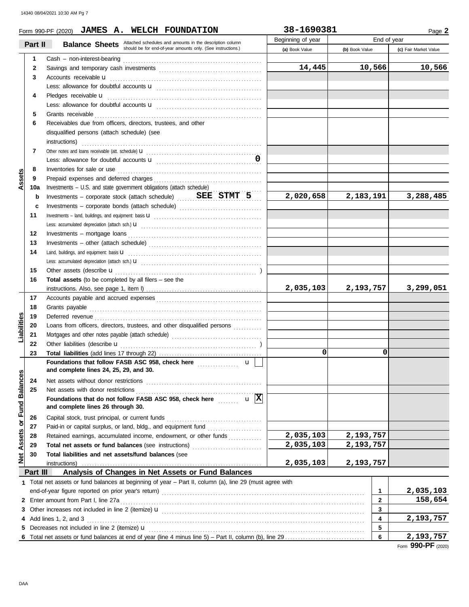|                             |          | Form 990-PF (2020) JAMES A. WELCH FOUNDATION                                                               | 38-1690381        |                |              | Page 2                |  |
|-----------------------------|----------|------------------------------------------------------------------------------------------------------------|-------------------|----------------|--------------|-----------------------|--|
|                             |          | <b>Balance Sheets</b> Attached schedules and amounts in the description column                             | Beginning of year | End of year    |              |                       |  |
|                             | Part II  | should be for end-of-year amounts only. (See instructions.)                                                | (a) Book Value    | (b) Book Value |              | (c) Fair Market Value |  |
|                             | 1        |                                                                                                            |                   |                |              |                       |  |
|                             | 2        |                                                                                                            | 14,445            |                | 10,566       | 10,566                |  |
|                             | 3        |                                                                                                            |                   |                |              |                       |  |
|                             |          |                                                                                                            |                   |                |              |                       |  |
|                             | 4        |                                                                                                            |                   |                |              |                       |  |
|                             |          |                                                                                                            |                   |                |              |                       |  |
|                             | 5        |                                                                                                            |                   |                |              |                       |  |
|                             | 6        | Receivables due from officers, directors, trustees, and other                                              |                   |                |              |                       |  |
|                             |          | disqualified persons (attach schedule) (see                                                                |                   |                |              |                       |  |
|                             |          | instructions)                                                                                              |                   |                |              |                       |  |
|                             | 7        |                                                                                                            |                   |                |              |                       |  |
|                             |          |                                                                                                            |                   |                |              |                       |  |
|                             | 8        | Inventories for sale or use <i>contained a contained a contained a contained a contained a contained a</i> |                   |                |              |                       |  |
| Assets                      | 9        |                                                                                                            |                   |                |              |                       |  |
|                             | 10a      | Investments - U.S. and state government obligations (attach schedule)                                      |                   |                |              |                       |  |
|                             | b        | Investments – corporate stock (attach schedule) SEE STMT 5                                                 | 2,020,658         | 2,183,191      |              | 3,288,485             |  |
|                             | c        | Investments - corporate bonds (attach schedule)                                                            |                   |                |              |                       |  |
|                             | 11       |                                                                                                            |                   |                |              |                       |  |
|                             |          |                                                                                                            |                   |                |              |                       |  |
|                             | 12       | $Investments - mortgage loans$                                                                             |                   |                |              |                       |  |
|                             | 13       |                                                                                                            |                   |                |              |                       |  |
|                             | 14       |                                                                                                            |                   |                |              |                       |  |
|                             |          |                                                                                                            |                   |                |              |                       |  |
|                             | 15       |                                                                                                            |                   |                |              |                       |  |
|                             | 16       | <b>Total assets</b> (to be completed by all filers $-$ see the                                             |                   |                |              |                       |  |
|                             |          |                                                                                                            | 2,035,103         | 2,193,757      |              | 3,299,051             |  |
|                             | 17       |                                                                                                            |                   |                |              |                       |  |
|                             | 18       |                                                                                                            |                   |                |              |                       |  |
|                             | 19       |                                                                                                            |                   |                |              |                       |  |
| Liabilities                 | 20       | Loans from officers, directors, trustees, and other disqualified persons                                   |                   |                |              |                       |  |
|                             | 21       |                                                                                                            |                   |                |              |                       |  |
|                             | 22       |                                                                                                            |                   |                |              |                       |  |
|                             | 23       |                                                                                                            | 0                 |                | 0            |                       |  |
|                             |          | Foundations that follow FASB ASC 958, check here <i>manufoliour</i><br>$\mathbf{u}$                        |                   |                |              |                       |  |
|                             |          | and complete lines 24, 25, 29, and 30.                                                                     |                   |                |              |                       |  |
|                             | 24       |                                                                                                            |                   |                |              |                       |  |
|                             | 25       |                                                                                                            |                   |                |              |                       |  |
|                             |          | Foundations that do not follow FASB ASC 958, check here $\cdots$ $\mathbf{u}$ $\boxed{\mathbf{X}}$         |                   |                |              |                       |  |
|                             |          | and complete lines 26 through 30.                                                                          |                   |                |              |                       |  |
| Net Assets or Fund Balances | 26       |                                                                                                            |                   |                |              |                       |  |
|                             | 27       | Paid-in or capital surplus, or land, bldg., and equipment fund                                             |                   |                |              |                       |  |
|                             | 28       | Retained earnings, accumulated income, endowment, or other funds                                           | 2,035,103         | 2,193,757      |              |                       |  |
|                             | 29       | Total net assets or fund balances (see instructions)                                                       | 2,035,103         | 2,193,757      |              |                       |  |
|                             | 30       | Total liabilities and net assets/fund balances (see                                                        |                   |                |              |                       |  |
|                             |          | instructions)                                                                                              | 2,035,103         | 2,193,757      |              |                       |  |
|                             | Part III | Analysis of Changes in Net Assets or Fund Balances                                                         |                   |                |              |                       |  |
|                             |          | 1 Total net assets or fund balances at beginning of year - Part II, column (a), line 29 (must agree with   |                   |                |              |                       |  |
|                             |          |                                                                                                            |                   |                | 1            | 2,035,103             |  |
|                             |          | 2 Enter amount from Part I, line 27a                                                                       |                   |                | $\mathbf{2}$ | 158,654               |  |
|                             |          |                                                                                                            |                   |                | 3            |                       |  |
|                             |          | 4 Add lines 1, 2, and 3                                                                                    |                   |                | 4            | 2,193,757             |  |
|                             |          |                                                                                                            |                   |                | 5            |                       |  |
|                             |          |                                                                                                            |                   |                | 6            | 2,193,757             |  |
|                             |          |                                                                                                            |                   |                |              |                       |  |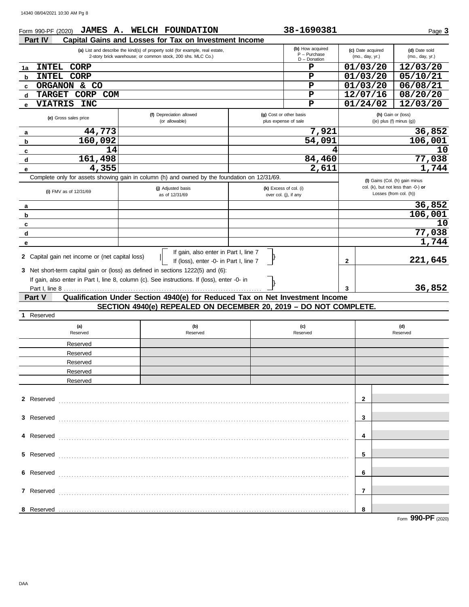| Form 990-PF (2020)                              | JAMES A. WELCH FOUNDATION                                                                                                                                                                                                                                          |                                                 | 38-1690381                                            |                                      | Page 3                                                                                          |
|-------------------------------------------------|--------------------------------------------------------------------------------------------------------------------------------------------------------------------------------------------------------------------------------------------------------------------|-------------------------------------------------|-------------------------------------------------------|--------------------------------------|-------------------------------------------------------------------------------------------------|
| Part IV                                         | Capital Gains and Losses for Tax on Investment Income                                                                                                                                                                                                              |                                                 |                                                       |                                      |                                                                                                 |
|                                                 | (a) List and describe the kind(s) of property sold (for example, real estate,<br>2-story brick warehouse; or common stock, 200 shs. MLC Co.)                                                                                                                       |                                                 | (b) How acquired<br>$P - P$ urchase<br>$D$ - Donation | (c) Date acquired<br>(mo., day, yr.) | (d) Date sold<br>(mo., day, yr.)                                                                |
| <b>INTEL</b><br><b>CORP</b><br>1a               |                                                                                                                                                                                                                                                                    |                                                 | P                                                     | 01/03/20                             | 12/03/20                                                                                        |
| <b>CORP</b><br><b>INTEL</b><br>b                |                                                                                                                                                                                                                                                                    |                                                 | P                                                     | 01/03/20                             | 05/10/21                                                                                        |
| & CO<br>ORGANON<br>c                            |                                                                                                                                                                                                                                                                    |                                                 | ${\bf P}$                                             | 01/03/20                             | 06/08/21                                                                                        |
| <b>TARGET</b><br><b>CORP</b><br><b>COM</b><br>d |                                                                                                                                                                                                                                                                    |                                                 | $\mathbf P$                                           | 12/07/16                             | 08/20/20                                                                                        |
| <b>VIATRIS</b><br><b>INC</b><br>е               |                                                                                                                                                                                                                                                                    |                                                 | P                                                     | 01/24/02                             | 12/03/20                                                                                        |
| (e) Gross sales price                           | (f) Depreciation allowed<br>(or allowable)                                                                                                                                                                                                                         | (g) Cost or other basis<br>plus expense of sale |                                                       |                                      | (h) Gain or (loss)<br>$((e)$ plus $(f)$ minus $(g)$ )                                           |
| 44,773<br>a                                     |                                                                                                                                                                                                                                                                    |                                                 | 7,921                                                 |                                      | 36,852                                                                                          |
| 160,092<br>b                                    |                                                                                                                                                                                                                                                                    |                                                 | 54,091                                                |                                      | 106,001                                                                                         |
| 14<br>c                                         |                                                                                                                                                                                                                                                                    |                                                 |                                                       |                                      | 10                                                                                              |
| 161,498<br>d                                    |                                                                                                                                                                                                                                                                    |                                                 | 84,460                                                |                                      | 77,038                                                                                          |
| 4,355<br>е                                      |                                                                                                                                                                                                                                                                    |                                                 | 2,611                                                 |                                      | 1,744                                                                                           |
|                                                 | Complete only for assets showing gain in column (h) and owned by the foundation on 12/31/69.                                                                                                                                                                       |                                                 |                                                       |                                      |                                                                                                 |
| (i) FMV as of 12/31/69                          | (j) Adjusted basis<br>as of 12/31/69                                                                                                                                                                                                                               | (k) Excess of col. (i)<br>over col. (j), if any |                                                       |                                      | (I) Gains (Col. (h) gain minus<br>col. (k), but not less than -0-) or<br>Losses (from col. (h)) |
| a                                               |                                                                                                                                                                                                                                                                    |                                                 |                                                       |                                      | 36,852                                                                                          |
| b                                               |                                                                                                                                                                                                                                                                    |                                                 |                                                       |                                      | 106,001                                                                                         |
| c                                               |                                                                                                                                                                                                                                                                    |                                                 |                                                       |                                      | 10                                                                                              |
| d                                               |                                                                                                                                                                                                                                                                    |                                                 |                                                       |                                      | 77,038                                                                                          |
| е                                               |                                                                                                                                                                                                                                                                    |                                                 |                                                       |                                      | 1,744                                                                                           |
| 2 Capital gain net income or (net capital loss) | If gain, also enter in Part I, line 7<br>If (loss), enter -0- in Part I, line 7<br>3 Net short-term capital gain or (loss) as defined in sections 1222(5) and (6):<br>If gain, also enter in Part I, line 8, column (c). See instructions. If (loss), enter -0- in |                                                 |                                                       | $\mathbf{2}$                         | 221,645                                                                                         |
|                                                 |                                                                                                                                                                                                                                                                    |                                                 |                                                       |                                      |                                                                                                 |
|                                                 |                                                                                                                                                                                                                                                                    |                                                 |                                                       |                                      |                                                                                                 |
|                                                 |                                                                                                                                                                                                                                                                    |                                                 |                                                       | 3                                    | 36,852                                                                                          |
| Part V                                          | Qualification Under Section 4940(e) for Reduced Tax on Net Investment Income                                                                                                                                                                                       |                                                 |                                                       |                                      |                                                                                                 |
|                                                 | SECTION 4940(e) REPEALED ON DECEMBER 20, 2019 - DO NOT COMPLETE.                                                                                                                                                                                                   |                                                 |                                                       |                                      |                                                                                                 |
| Reserved                                        |                                                                                                                                                                                                                                                                    |                                                 |                                                       |                                      |                                                                                                 |
| (a)<br>Reserved                                 | (b)<br>Reserved                                                                                                                                                                                                                                                    |                                                 | (c)<br>Reserved                                       |                                      | (d)<br>Reserved                                                                                 |
|                                                 |                                                                                                                                                                                                                                                                    |                                                 |                                                       |                                      |                                                                                                 |
| Reserved                                        |                                                                                                                                                                                                                                                                    |                                                 |                                                       |                                      |                                                                                                 |
| Reserved                                        |                                                                                                                                                                                                                                                                    |                                                 |                                                       |                                      |                                                                                                 |
| Reserved                                        |                                                                                                                                                                                                                                                                    |                                                 |                                                       |                                      |                                                                                                 |
| Reserved                                        |                                                                                                                                                                                                                                                                    |                                                 |                                                       |                                      |                                                                                                 |
| Reserved                                        |                                                                                                                                                                                                                                                                    |                                                 |                                                       |                                      |                                                                                                 |
| 2 Reserved                                      |                                                                                                                                                                                                                                                                    |                                                 |                                                       | $\mathbf{2}$                         |                                                                                                 |
| 3 Reserved                                      |                                                                                                                                                                                                                                                                    |                                                 |                                                       | 3                                    |                                                                                                 |
| 4 Reserved                                      |                                                                                                                                                                                                                                                                    |                                                 |                                                       | 4                                    |                                                                                                 |
|                                                 |                                                                                                                                                                                                                                                                    |                                                 |                                                       | 5                                    |                                                                                                 |
| 5 Reserved                                      |                                                                                                                                                                                                                                                                    |                                                 |                                                       |                                      |                                                                                                 |
| 6 Reserved                                      |                                                                                                                                                                                                                                                                    |                                                 |                                                       | 6                                    |                                                                                                 |
| 7 Reserved                                      |                                                                                                                                                                                                                                                                    |                                                 |                                                       | $\overline{7}$                       |                                                                                                 |
| 8 Reserved                                      |                                                                                                                                                                                                                                                                    |                                                 |                                                       | 8                                    |                                                                                                 |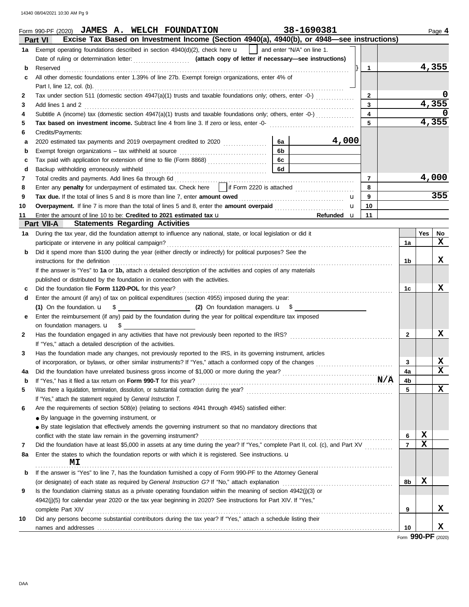14340 08/04/2021 10:30 AM Pg 9

|    | 38-1690381<br>Form 990-PF (2020) JAMES A. WELCH FOUNDATION<br>Excise Tax Based on Investment Income (Section 4940(a), 4940(b), or 4948-see instructions)<br><b>Part VI</b> |                |             | Page 4 |
|----|----------------------------------------------------------------------------------------------------------------------------------------------------------------------------|----------------|-------------|--------|
|    | 1a Exempt operating foundations described in section $4940(d)(2)$ , check here $\mathbf{u}$   and enter "N/A" on line 1.                                                   |                |             |        |
|    |                                                                                                                                                                            |                |             |        |
| b  | 1<br>Reserved                                                                                                                                                              |                |             | 4,355  |
| c  | All other domestic foundations enter 1.39% of line 27b. Exempt foreign organizations, enter 4% of                                                                          |                |             |        |
|    | Part I, line 12, col. (b).                                                                                                                                                 |                |             |        |
| 2  | Tax under section 511 (domestic section 4947(a)(1) trusts and taxable foundations only; others, enter -0-)<br>$\mathbf{2}$                                                 |                |             |        |
| 3  | 3<br>Add lines 1 and 2                                                                                                                                                     |                |             | 4,355  |
| 4  | Subtitle A (income) tax (domestic section 4947(a)(1) trusts and taxable foundations only; others, enter -0-)<br>4                                                          |                |             |        |
| 5  | 5<br>Tax based on investment income. Subtract line 4 from line 3. If zero or less, enter -0-                                                                               |                |             | 4,355  |
| 6  | Credits/Payments:                                                                                                                                                          |                |             |        |
| а  | 4,000<br>6a                                                                                                                                                                |                |             |        |
| b  | 6b                                                                                                                                                                         |                |             |        |
| c  | 6c<br>Tax paid with application for extension of time to file (Form 8868)                                                                                                  |                |             |        |
| d  | 6d<br>Backup withholding erroneously withheld                                                                                                                              |                |             |        |
| 7  | $\overline{7}$                                                                                                                                                             |                |             | 4,000  |
| 8  | Enter any penalty for underpayment of estimated tax. Check here     if Form 2220 is attached<br>8                                                                          |                |             |        |
| 9  | 9<br>Tax due. If the total of lines 5 and 8 is more than line 7, enter amount owed<br>u                                                                                    |                |             | 355    |
| 10 | 10<br>u                                                                                                                                                                    |                |             |        |
| 11 | Enter the amount of line 10 to be: Credited to 2021 estimated tax u<br>Refunded u<br>11                                                                                    |                |             |        |
|    | <b>Statements Regarding Activities</b><br>Part VII-A                                                                                                                       |                |             |        |
| 1a | During the tax year, did the foundation attempt to influence any national, state, or local legislation or did it                                                           |                | Yes         | No     |
|    | participate or intervene in any political campaign?                                                                                                                        | 1a             |             | X      |
| b  | Did it spend more than \$100 during the year (either directly or indirectly) for political purposes? See the                                                               |                |             |        |
|    | instructions for the definition                                                                                                                                            | 1b             |             | x      |
|    | If the answer is "Yes" to 1a or 1b, attach a detailed description of the activities and copies of any materials                                                            |                |             |        |
|    | published or distributed by the foundation in connection with the activities.                                                                                              |                |             |        |
| c  | Did the foundation file Form 1120-POL for this year?                                                                                                                       | 1c             |             | X      |
| d  | Enter the amount (if any) of tax on political expenditures (section 4955) imposed during the year:                                                                         |                |             |        |
|    |                                                                                                                                                                            |                |             |        |
| е  | Enter the reimbursement (if any) paid by the foundation during the year for political expenditure tax imposed                                                              |                |             |        |
|    | on foundation managers. $\mathbf{u}$ \$<br>Has the foundation engaged in any activities that have not previously been reported to the IRS?                                 | $\mathbf{2}$   |             | x      |
| 2  | If "Yes," attach a detailed description of the activities.                                                                                                                 |                |             |        |
| 3  | Has the foundation made any changes, not previously reported to the IRS, in its governing instrument, articles                                                             |                |             |        |
|    | of incorporation, or bylaws, or other similar instruments? If "Yes," attach a conformed copy of the changes                                                                | 3              |             | x      |
| 4a |                                                                                                                                                                            | 4a             |             | X      |
| b  | N/A<br>If "Yes," has it filed a tax return on Form 990-T for this year?                                                                                                    | 4b             |             |        |
| 5  |                                                                                                                                                                            | 5              |             | X      |
|    | If "Yes," attach the statement required by General Instruction T.                                                                                                          |                |             |        |
| 6  | Are the requirements of section 508(e) (relating to sections 4941 through 4945) satisfied either:                                                                          |                |             |        |
|    | • By language in the governing instrument, or                                                                                                                              |                |             |        |
|    | • By state legislation that effectively amends the governing instrument so that no mandatory directions that                                                               |                |             |        |
|    | conflict with the state law remain in the governing instrument?                                                                                                            | 6              | X           |        |
| 7  | Did the foundation have at least \$5,000 in assets at any time during the year? If "Yes," complete Part II, col. (c), and Part XV                                          | $\overline{7}$ | $\mathbf x$ |        |
| 8а | Enter the states to which the foundation reports or with which it is registered. See instructions. <b>u</b><br>МI                                                          |                |             |        |
| b  | If the answer is "Yes" to line 7, has the foundation furnished a copy of Form 990-PF to the Attorney General                                                               |                |             |        |
|    | (or designate) of each state as required by General Instruction G? If "No," attach explanation                                                                             | 8b             | X           |        |
| 9  | Is the foundation claiming status as a private operating foundation within the meaning of section 4942(j)(3) or                                                            |                |             |        |
|    | 4942(j)(5) for calendar year 2020 or the tax year beginning in 2020? See instructions for Part XIV. If "Yes,"                                                              |                |             |        |
|    | complete Part XIV                                                                                                                                                          | 9              |             | X      |
| 10 | Did any persons become substantial contributors during the tax year? If "Yes," attach a schedule listing their                                                             |                |             |        |
|    |                                                                                                                                                                            | 10             |             | X      |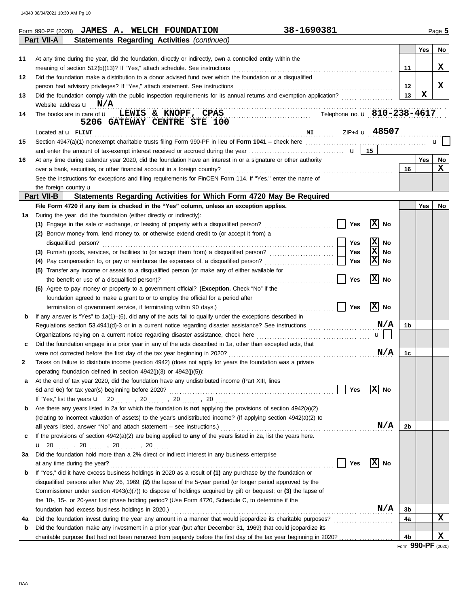14340 08/04/2021 10:30 AM Pg 10

|    | 38-1690381<br>Form 990-PF (2020) JAMES A. WELCH FOUNDATION                                                          |                               |         |             | Page 5       |
|----|---------------------------------------------------------------------------------------------------------------------|-------------------------------|---------|-------------|--------------|
|    | Part VII-A<br><b>Statements Regarding Activities (continued)</b>                                                    |                               |         |             |              |
|    |                                                                                                                     |                               |         | Yes         | No.          |
| 11 | At any time during the year, did the foundation, directly or indirectly, own a controlled entity within the         |                               |         |             |              |
|    |                                                                                                                     |                               | 11      |             | X            |
| 12 | Did the foundation make a distribution to a donor advised fund over which the foundation or a disqualified          |                               |         |             |              |
|    |                                                                                                                     |                               | $12 \,$ |             | X            |
| 13 | Did the foundation comply with the public inspection requirements for its annual returns and exemption application? |                               | 13      | $\mathbf x$ |              |
|    | Website address $\mathbf{u}$ $\mathbf{N}/\mathbf{A}$                                                                |                               |         |             |              |
| 14 | The books are in care of $\bf{u}$ LEWIS & KNOPF, CPAS<br>Telephone no. u 810-238-4617                               |                               |         |             |              |
|    | 5206 GATEWAY CENTRE STE 100                                                                                         |                               |         |             |              |
|    | $M_{\rm H}$ $ZIP+4$ <b>u</b> $48507$<br>Located at <b>U</b> FLINT                                                   |                               |         |             |              |
| 15 |                                                                                                                     |                               |         |             | $\mathbf{u}$ |
|    |                                                                                                                     |                               |         |             |              |
| 16 | At any time during calendar year 2020, did the foundation have an interest in or a signature or other authority     |                               |         | Yes         | No           |
|    |                                                                                                                     |                               | 16      |             | X            |
|    | See the instructions for exceptions and filing requirements for FinCEN Form 114. If "Yes," enter the name of        |                               |         |             |              |
|    | the foreign country $\mathbf u$                                                                                     |                               |         |             |              |
|    | Part VII-B<br>Statements Regarding Activities for Which Form 4720 May Be Required                                   |                               |         |             |              |
|    | File Form 4720 if any item is checked in the "Yes" column, unless an exception applies.                             |                               |         | <b>Yes</b>  | No           |
| 1a | During the year, did the foundation (either directly or indirectly):                                                |                               |         |             |              |
|    | Yes<br>(1) Engage in the sale or exchange, or leasing of property with a disqualified person?                       | $ \mathbf{x} $<br>No          |         |             |              |
|    | (2) Borrow money from, lend money to, or otherwise extend credit to (or accept it from) a                           |                               |         |             |              |
|    | Yes<br>disqualified person?                                                                                         | X<br>No                       |         |             |              |
|    | Yes                                                                                                                 | $\overline{\mathtt{x}}$<br>No |         |             |              |
|    | <b>Yes</b>                                                                                                          | x<br>No                       |         |             |              |
|    | (5) Transfer any income or assets to a disqualified person (or make any of either available for                     |                               |         |             |              |
|    | <b>Yes</b>                                                                                                          | x<br>No                       |         |             |              |
|    | (6) Agree to pay money or property to a government official? (Exception. Check "No" if the                          |                               |         |             |              |
|    | foundation agreed to make a grant to or to employ the official for a period after                                   |                               |         |             |              |
|    | Yes                                                                                                                 | $ \mathbf{x} $<br>No          |         |             |              |
| b  | If any answer is "Yes" to $1a(1)$ –(6), did any of the acts fail to qualify under the exceptions described in       |                               |         |             |              |
|    | Regulations section 53.4941(d)-3 or in a current notice regarding disaster assistance? See instructions             | N/A                           | 1b      |             |              |
|    |                                                                                                                     | $\mathbf{u}$                  |         |             |              |
| c  | Did the foundation engage in a prior year in any of the acts described in 1a, other than excepted acts, that        |                               |         |             |              |
|    |                                                                                                                     | N/A                           | 1c      |             |              |
| 2  | Taxes on failure to distribute income (section 4942) (does not apply for years the foundation was a private         |                               |         |             |              |
|    | operating foundation defined in section 4942(j)(3) or 4942(j)(5)):                                                  |                               |         |             |              |
| a  | At the end of tax year 2020, did the foundation have any undistributed income (Part XIII, lines                     |                               |         |             |              |
|    | Yes<br>6d and 6e) for tax year(s) beginning before 2020?                                                            | $ \mathbf{x} $<br>No          |         |             |              |
|    | If "Yes," list the years $\mathbf{u} = 20$ , , 20 , , 20 , , 20                                                     |                               |         |             |              |
| b  | Are there any years listed in 2a for which the foundation is not applying the provisions of section 4942(a)(2)      |                               |         |             |              |
|    | (relating to incorrect valuation of assets) to the year's undistributed income? (If applying section 4942(a)(2) to  |                               |         |             |              |
|    |                                                                                                                     | N/A                           | 2b      |             |              |
| c  | If the provisions of section 4942(a)(2) are being applied to any of the years listed in 2a, list the years here.    |                               |         |             |              |
|    | <b>u</b> 20 , 20 , 20 , 20                                                                                          |                               |         |             |              |
| За | Did the foundation hold more than a 2% direct or indirect interest in any business enterprise                       |                               |         |             |              |
|    | Yes<br>at any time during the year?                                                                                 | $ \mathbf{x} $<br>No          |         |             |              |
| b  | If "Yes," did it have excess business holdings in 2020 as a result of (1) any purchase by the foundation or         |                               |         |             |              |
|    | disqualified persons after May 26, 1969; (2) the lapse of the 5-year period (or longer period approved by the       |                               |         |             |              |
|    | Commissioner under section $4943(c)(7)$ ) to dispose of holdings acquired by gift or bequest; or (3) the lapse of   |                               |         |             |              |
|    | the 10-, 15-, or 20-year first phase holding period? (Use Form 4720, Schedule C, to determine if the                |                               |         |             |              |
|    | foundation had excess business holdings in 2020.)                                                                   | N/A                           | 3b      |             |              |
| 4a |                                                                                                                     |                               | 4a      |             | $\mathbf x$  |
| b  | Did the foundation make any investment in a prior year (but after December 31, 1969) that could jeopardize its      |                               |         |             |              |
|    | charitable purpose that had not been removed from jeopardy before the first day of the tax year beginning in 2020?  |                               | 4b      |             | X            |

Form **990-PF** (2020)

DAA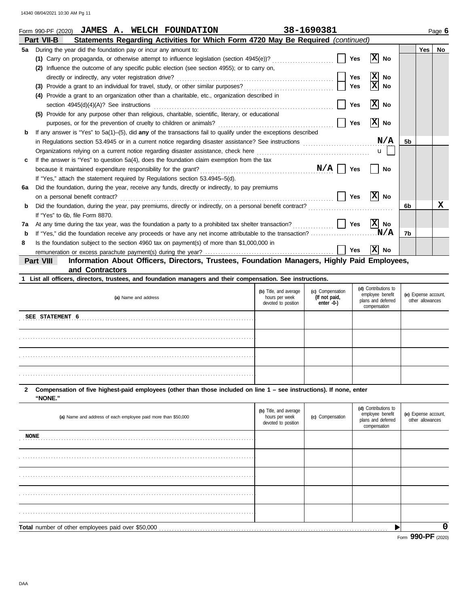|    | <b>JAMES A. WELCH FOUNDATION</b><br>Form 990-PF (2020)                                                                 | 38-1690381 |            |                      |                |            | Page 6 |
|----|------------------------------------------------------------------------------------------------------------------------|------------|------------|----------------------|----------------|------------|--------|
|    | Statements Regarding Activities for Which Form 4720 May Be Required (continued)<br>Part VII-B                          |            |            |                      |                |            |        |
| 5а | During the year did the foundation pay or incur any amount to:                                                         |            |            |                      |                | <b>Yes</b> | No     |
|    | (1) Carry on propaganda, or otherwise attempt to influence legislation (section 4945(e))?                              |            | <b>Yes</b> | x <br>No             |                |            |        |
|    | Influence the outcome of any specific public election (see section 4955); or to carry on,<br>(2)                       |            |            |                      |                |            |        |
|    | directly or indirectly, any voter registration drive?                                                                  |            | <b>Yes</b> | x<br>No              |                |            |        |
|    | (3)                                                                                                                    |            | <b>Yes</b> | x<br>No              |                |            |        |
|    | Provide a grant to an organization other than a charitable, etc., organization described in<br>(4)                     |            |            |                      |                |            |        |
|    | section 4945(d)(4)(A)? See instructions                                                                                |            | Yes        | $ \mathbf{x} $<br>No |                |            |        |
|    | (5) Provide for any purpose other than religious, charitable, scientific, literary, or educational                     |            |            |                      |                |            |        |
|    | purposes, or for the prevention of cruelty to children or animals?                                                     |            | Yes        | x <br>No             |                |            |        |
| b  | If any answer is "Yes" to $5a(1)$ - $(5)$ , did any of the transactions fail to qualify under the exceptions described |            |            |                      |                |            |        |
|    |                                                                                                                        |            |            | N/A                  | 5 <sub>b</sub> |            |        |
|    | Organizations relying on a current notice regarding disaster assistance, check here                                    |            |            | $\mathbf{u}$         |                |            |        |
| c  | If the answer is "Yes" to question 5a(4), does the foundation claim exemption from the tax                             |            |            |                      |                |            |        |
|    | because it maintained expenditure responsibility for the grant?                                                        | $N/A$      | <b>Yes</b> | No                   |                |            |        |
|    | If "Yes," attach the statement required by Regulations section 53.4945–5(d).                                           |            |            |                      |                |            |        |
| 6a | Did the foundation, during the year, receive any funds, directly or indirectly, to pay premiums                        |            |            |                      |                |            |        |
|    | on a personal benefit contract?                                                                                        |            | Yes        | x <br>No             |                |            |        |
| b  | Did the foundation, during the year, pay premiums, directly or indirectly, on a personal benefit contract?             |            |            |                      | 6b             |            | x      |
|    | If "Yes" to 6b, file Form 8870.                                                                                        |            |            |                      |                |            |        |
| 7a | At any time during the tax year, was the foundation a party to a prohibited tax shelter transaction?                   |            | Yes        | X  No                |                |            |        |
| b  |                                                                                                                        |            |            | N/A                  | 7b             |            |        |
| 8  | Is the foundation subject to the section 4960 tax on payment(s) of more than \$1,000,000 in                            |            |            |                      |                |            |        |
|    |                                                                                                                        |            | Yes        | x <br>No             |                |            |        |
|    | Information About Officers, Directors, Trustees, Foundation Managers, Highly Paid Employees,<br><b>Part VIII</b>       |            |            |                      |                |            |        |
|    | and Contractors                                                                                                        |            |            |                      |                |            |        |

|  |  |  |  |  | 1 List all officers, directors, trustees, and foundation managers and their compensation. See instructions. |  |  |
|--|--|--|--|--|-------------------------------------------------------------------------------------------------------------|--|--|
|--|--|--|--|--|-------------------------------------------------------------------------------------------------------------|--|--|

| (a) Name and address | (b) Title, and average<br>hours per week<br>devoted to position | (c) Compensation<br>(If not paid,<br>enter -0-) | (d) Contributions to<br>employee benefit<br>plans and deferred<br>compensation | (e) Expense account,<br>other allowances |
|----------------------|-----------------------------------------------------------------|-------------------------------------------------|--------------------------------------------------------------------------------|------------------------------------------|
| SEE STATEMENT 6      |                                                                 |                                                 |                                                                                |                                          |
|                      |                                                                 |                                                 |                                                                                |                                          |
|                      |                                                                 |                                                 |                                                                                |                                          |
|                      |                                                                 |                                                 |                                                                                |                                          |

#### **2 Compensation of five highest-paid employees (other than those included on line 1 – see instructions). If none, enter "NONE."**

| (a) Name and address of each employee paid more than \$50,000 | (b) Title, and average<br>hours per week<br>devoted to position | (c) Compensation | (d) Contributions to<br>employee benefit<br>plans and deferred<br>compensation | (e) Expense account,<br>other allowances |
|---------------------------------------------------------------|-----------------------------------------------------------------|------------------|--------------------------------------------------------------------------------|------------------------------------------|
| <b>NONE</b>                                                   |                                                                 |                  |                                                                                |                                          |
|                                                               |                                                                 |                  |                                                                                |                                          |
|                                                               |                                                                 |                  |                                                                                |                                          |
|                                                               |                                                                 |                  |                                                                                |                                          |
|                                                               |                                                                 |                  |                                                                                |                                          |
| Total number of other employees paid over \$50,000            |                                                                 |                  |                                                                                | O                                        |
|                                                               |                                                                 |                  |                                                                                | $F_{\text{com}}$ QQO_DE $(2000)$         |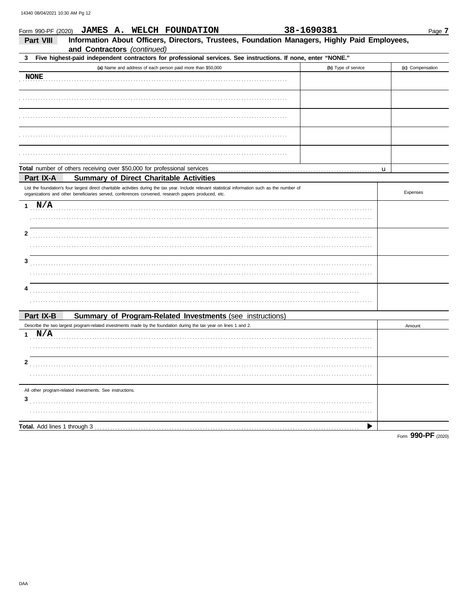|                                     | 38-1690381<br>Form 990-PF (2020) JAMES A. WELCH FOUNDATION                                                                                                                                                                                                |                     | Page 7             |
|-------------------------------------|-----------------------------------------------------------------------------------------------------------------------------------------------------------------------------------------------------------------------------------------------------------|---------------------|--------------------|
| <b>Part VIII</b>                    | Information About Officers, Directors, Trustees, Foundation Managers, Highly Paid Employees,<br>and Contractors (continued)                                                                                                                               |                     |                    |
| 3                                   | Five highest-paid independent contractors for professional services. See instructions. If none, enter "NONE."                                                                                                                                             |                     |                    |
|                                     | (a) Name and address of each person paid more than \$50,000                                                                                                                                                                                               | (b) Type of service | (c) Compensation   |
| <b>NONE</b>                         |                                                                                                                                                                                                                                                           |                     |                    |
|                                     |                                                                                                                                                                                                                                                           |                     |                    |
|                                     |                                                                                                                                                                                                                                                           |                     |                    |
|                                     |                                                                                                                                                                                                                                                           |                     |                    |
|                                     |                                                                                                                                                                                                                                                           |                     |                    |
|                                     | Total number of others receiving over \$50,000 for professional services                                                                                                                                                                                  |                     | u                  |
| Part IX-A                           | <b>Summary of Direct Charitable Activities</b>                                                                                                                                                                                                            |                     |                    |
|                                     | List the foundation's four largest direct charitable activities during the tax year. Include relevant statistical information such as the number of<br>organizations and other beneficiaries served, conferences convened, research papers produced, etc. |                     | Expenses           |
| 1 N/A                               |                                                                                                                                                                                                                                                           |                     |                    |
|                                     |                                                                                                                                                                                                                                                           |                     |                    |
| 2                                   |                                                                                                                                                                                                                                                           |                     |                    |
|                                     |                                                                                                                                                                                                                                                           |                     |                    |
| 3                                   |                                                                                                                                                                                                                                                           |                     |                    |
|                                     |                                                                                                                                                                                                                                                           |                     |                    |
|                                     |                                                                                                                                                                                                                                                           |                     |                    |
| Part IX-B                           |                                                                                                                                                                                                                                                           |                     |                    |
|                                     | Summary of Program-Related Investments (see instructions)<br>Describe the two largest program-related investments made by the foundation during the tax year on lines 1 and 2.                                                                            |                     | Amount             |
| 1 N/A                               |                                                                                                                                                                                                                                                           |                     |                    |
|                                     |                                                                                                                                                                                                                                                           |                     |                    |
| 2                                   |                                                                                                                                                                                                                                                           |                     |                    |
|                                     |                                                                                                                                                                                                                                                           |                     |                    |
|                                     | All other program-related investments. See instructions.                                                                                                                                                                                                  |                     |                    |
| 3                                   |                                                                                                                                                                                                                                                           |                     |                    |
|                                     |                                                                                                                                                                                                                                                           |                     |                    |
| <b>Total.</b> Add lines 1 through 3 |                                                                                                                                                                                                                                                           |                     |                    |
|                                     |                                                                                                                                                                                                                                                           |                     | Form 990-PF (2020) |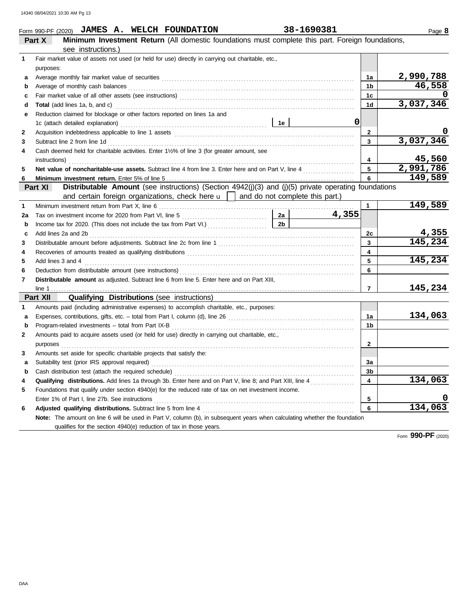|    | Form 990-PF (2020) JAMES A. WELCH FOUNDATION                                                                                                                                                                                                                                                                                                                                                                                                                                                                                                                     | 38-1690381 |       |                | Page 8                  |
|----|------------------------------------------------------------------------------------------------------------------------------------------------------------------------------------------------------------------------------------------------------------------------------------------------------------------------------------------------------------------------------------------------------------------------------------------------------------------------------------------------------------------------------------------------------------------|------------|-------|----------------|-------------------------|
|    | Minimum Investment Return (All domestic foundations must complete this part. Foreign foundations,<br>Part X                                                                                                                                                                                                                                                                                                                                                                                                                                                      |            |       |                |                         |
|    | see instructions.)                                                                                                                                                                                                                                                                                                                                                                                                                                                                                                                                               |            |       |                |                         |
| 1  | Fair market value of assets not used (or held for use) directly in carrying out charitable, etc.,                                                                                                                                                                                                                                                                                                                                                                                                                                                                |            |       |                |                         |
|    | purposes:                                                                                                                                                                                                                                                                                                                                                                                                                                                                                                                                                        |            |       |                |                         |
| a  |                                                                                                                                                                                                                                                                                                                                                                                                                                                                                                                                                                  |            |       | 1a             | 2,990,788               |
| b  | Average of monthly cash balances <b>constructs</b> and a series of monthly cash balances <b>constructs</b> and a series of monthly cash balances                                                                                                                                                                                                                                                                                                                                                                                                                 |            |       | 1 <sub>b</sub> | 46,558                  |
| c  |                                                                                                                                                                                                                                                                                                                                                                                                                                                                                                                                                                  |            |       | 1 <sub>c</sub> |                         |
| d  |                                                                                                                                                                                                                                                                                                                                                                                                                                                                                                                                                                  |            |       | 1d             | 3,037,346               |
| е  | Reduction claimed for blockage or other factors reported on lines 1a and                                                                                                                                                                                                                                                                                                                                                                                                                                                                                         |            |       |                |                         |
|    |                                                                                                                                                                                                                                                                                                                                                                                                                                                                                                                                                                  |            | 0     |                |                         |
| 2  |                                                                                                                                                                                                                                                                                                                                                                                                                                                                                                                                                                  |            |       | $\mathbf{2}$   |                         |
| 3  |                                                                                                                                                                                                                                                                                                                                                                                                                                                                                                                                                                  |            |       | 3              | 3,037,346               |
| 4  | Cash deemed held for charitable activities. Enter 11/2% of line 3 (for greater amount, see                                                                                                                                                                                                                                                                                                                                                                                                                                                                       |            |       |                |                         |
|    | $instructions) \label{eq:instructor} \begin{minipage}{0.5\textwidth} \centering \begin{minipage}{0.5\textwidth} \centering \end{minipage} \begin{minipage}{0.5\textwidth} \centering \end{minipage} \begin{minipage}{0.5\textwidth} \centering \end{minipage} \begin{minipage}{0.5\textwidth} \centering \end{minipage} \begin{minipage}{0.5\textwidth} \centering \end{minipage} \begin{minipage}{0.5\textwidth} \centering \end{minipage} \begin{minipage}{0.5\textwidth} \centering \end{minipage} \begin{minipage}{0.5\textwidth} \centering \end{minipage}$ |            |       | 4              | 45,560                  |
| 5  | Net value of noncharitable-use assets. Subtract line 4 from line 3. Enter here and on Part V, line 4                                                                                                                                                                                                                                                                                                                                                                                                                                                             |            |       | 5              | 2,991,786               |
| 6  |                                                                                                                                                                                                                                                                                                                                                                                                                                                                                                                                                                  |            |       | 6              | 149,589                 |
|    | Distributable Amount (see instructions) (Section 4942(j)(3) and (j)(5) private operating foundations<br>Part XI                                                                                                                                                                                                                                                                                                                                                                                                                                                  |            |       |                |                         |
|    | and certain foreign organizations, check here $\mathbf{u}$   and do not complete this part.)                                                                                                                                                                                                                                                                                                                                                                                                                                                                     |            |       |                |                         |
| 1  |                                                                                                                                                                                                                                                                                                                                                                                                                                                                                                                                                                  |            |       | $\mathbf{1}$   | 149,589                 |
| 2a | Tax on investment income for 2020 from Part VI, line 5                                                                                                                                                                                                                                                                                                                                                                                                                                                                                                           |            | 4,355 |                |                         |
| b  | Income tax for 2020. (This does not include the tax from Part VI.) [2b ]                                                                                                                                                                                                                                                                                                                                                                                                                                                                                         |            |       |                |                         |
| c  |                                                                                                                                                                                                                                                                                                                                                                                                                                                                                                                                                                  |            |       | 2c             | $\frac{4,355}{145,234}$ |
| 3  |                                                                                                                                                                                                                                                                                                                                                                                                                                                                                                                                                                  |            |       | 3              |                         |
| 4  |                                                                                                                                                                                                                                                                                                                                                                                                                                                                                                                                                                  |            |       | 4              |                         |
| 5  | Add lines 3 and 4 <b>matures</b> 3 and 4                                                                                                                                                                                                                                                                                                                                                                                                                                                                                                                         |            |       | 5              | 145,234                 |
| 6  |                                                                                                                                                                                                                                                                                                                                                                                                                                                                                                                                                                  |            |       | 6              |                         |
| 7  | Distributable amount as adjusted. Subtract line 6 from line 5. Enter here and on Part XIII,                                                                                                                                                                                                                                                                                                                                                                                                                                                                      |            |       |                |                         |
|    |                                                                                                                                                                                                                                                                                                                                                                                                                                                                                                                                                                  |            |       | $\overline{7}$ | 145,234                 |
|    | <b>Qualifying Distributions (see instructions)</b><br>Part XII                                                                                                                                                                                                                                                                                                                                                                                                                                                                                                   |            |       |                |                         |
| 1  | Amounts paid (including administrative expenses) to accomplish charitable, etc., purposes:                                                                                                                                                                                                                                                                                                                                                                                                                                                                       |            |       |                |                         |
| a  |                                                                                                                                                                                                                                                                                                                                                                                                                                                                                                                                                                  |            |       | 1a             | 134,063                 |
| b  |                                                                                                                                                                                                                                                                                                                                                                                                                                                                                                                                                                  |            |       | 1 <sub>b</sub> |                         |
| 2  | Amounts paid to acquire assets used (or held for use) directly in carrying out charitable, etc.,                                                                                                                                                                                                                                                                                                                                                                                                                                                                 |            |       |                |                         |
|    | purposes <b>construction in the construction of the construction of the construction of the construction</b>                                                                                                                                                                                                                                                                                                                                                                                                                                                     |            |       | $\mathbf{2}$   |                         |
| 3  | Amounts set aside for specific charitable projects that satisfy the:                                                                                                                                                                                                                                                                                                                                                                                                                                                                                             |            |       |                |                         |
| a  |                                                                                                                                                                                                                                                                                                                                                                                                                                                                                                                                                                  |            |       | За             |                         |
| b  | Cash distribution test (attach the required schedule)                                                                                                                                                                                                                                                                                                                                                                                                                                                                                                            |            |       | 3b             |                         |
| 4  |                                                                                                                                                                                                                                                                                                                                                                                                                                                                                                                                                                  |            |       | 4              | 134,063                 |
| 5  | Foundations that qualify under section 4940(e) for the reduced rate of tax on net investment income.                                                                                                                                                                                                                                                                                                                                                                                                                                                             |            |       |                |                         |
|    | Enter 1% of Part I, line 27b. See instructions                                                                                                                                                                                                                                                                                                                                                                                                                                                                                                                   |            |       | 5              |                         |
| 6  |                                                                                                                                                                                                                                                                                                                                                                                                                                                                                                                                                                  |            |       | 6              | 134,063                 |
|    | Note: The amount on line 6 will be used in Part V, column (b), in subsequent years when calculating whether the foundation                                                                                                                                                                                                                                                                                                                                                                                                                                       |            |       |                |                         |
|    | qualifies for the section 4940(e) reduction of tax in those years.                                                                                                                                                                                                                                                                                                                                                                                                                                                                                               |            |       |                |                         |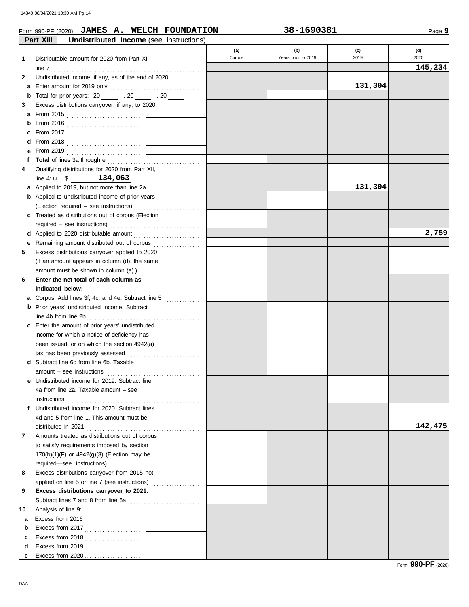### Form 990-PF (2020) **JAMES A. WELCH FOUNDATION 38-1690381**

| 38-1690381 |  |  |
|------------|--|--|
|------------|--|--|

|    | Part XIII<br>Undistributed Income (see instructions)                                                             |        |                     |         |         |
|----|------------------------------------------------------------------------------------------------------------------|--------|---------------------|---------|---------|
|    |                                                                                                                  | (a)    | (b)                 | (c)     | (d)     |
| 1  | Distributable amount for 2020 from Part XI,                                                                      | Corpus | Years prior to 2019 | 2019    | 2020    |
|    | line 7                                                                                                           |        |                     |         | 145,234 |
| 2  | Undistributed income, if any, as of the end of 2020:                                                             |        |                     |         |         |
| a  |                                                                                                                  |        |                     | 131,304 |         |
| b  | Total for prior years: 20 ______ , 20 _____ , 20 _____                                                           |        |                     |         |         |
| 3  | Excess distributions carryover, if any, to 2020:                                                                 |        |                     |         |         |
| a  |                                                                                                                  |        |                     |         |         |
| b  |                                                                                                                  |        |                     |         |         |
|    |                                                                                                                  |        |                     |         |         |
|    |                                                                                                                  |        |                     |         |         |
|    |                                                                                                                  |        |                     |         |         |
| f  |                                                                                                                  |        |                     |         |         |
| 4  | Qualifying distributions for 2020 from Part XII,                                                                 |        |                     |         |         |
|    | line 4: $u$ \$ 134,063                                                                                           |        |                     |         |         |
| a  | Applied to 2019, but not more than line 2a                                                                       |        |                     | 131,304 |         |
| b  | Applied to undistributed income of prior years                                                                   |        |                     |         |         |
|    | (Election required - see instructions)                                                                           |        |                     |         |         |
|    | c Treated as distributions out of corpus (Election                                                               |        |                     |         |         |
|    |                                                                                                                  |        |                     |         |         |
|    |                                                                                                                  |        |                     |         | 2,759   |
| е  | Remaining amount distributed out of corpus [11] [11] Remaining amount distributed out of corpus [11] Among Seman |        |                     |         |         |
| 5  | Excess distributions carryover applied to 2020                                                                   |        |                     |         |         |
|    | (If an amount appears in column (d), the same                                                                    |        |                     |         |         |
|    |                                                                                                                  |        |                     |         |         |
| 6  | Enter the net total of each column as                                                                            |        |                     |         |         |
|    | indicated below:                                                                                                 |        |                     |         |         |
| а  | Corpus. Add lines 3f, 4c, and 4e. Subtract line 5                                                                |        |                     |         |         |
| b  | Prior years' undistributed income. Subtract                                                                      |        |                     |         |         |
|    | line 4b from line 2b                                                                                             |        |                     |         |         |
| c  | Enter the amount of prior years' undistributed                                                                   |        |                     |         |         |
|    | income for which a notice of deficiency has                                                                      |        |                     |         |         |
|    | been issued, or on which the section 4942(a)                                                                     |        |                     |         |         |
|    | tax has been previously assessed                                                                                 |        |                     |         |         |
|    | Subtract line 6c from line 6b. Taxable                                                                           |        |                     |         |         |
|    |                                                                                                                  |        |                     |         |         |
|    | e Undistributed income for 2019. Subtract line                                                                   |        |                     |         |         |
|    | 4a from line 2a. Taxable amount - see                                                                            |        |                     |         |         |
|    | instructions                                                                                                     |        |                     |         |         |
| f  | Undistributed income for 2020. Subtract lines                                                                    |        |                     |         |         |
|    | 4d and 5 from line 1. This amount must be                                                                        |        |                     |         |         |
|    | distributed in 2021                                                                                              |        |                     |         | 142,475 |
| 7  | Amounts treated as distributions out of corpus                                                                   |        |                     |         |         |
|    | to satisfy requirements imposed by section                                                                       |        |                     |         |         |
|    | $170(b)(1)(F)$ or $4942(g)(3)$ (Election may be                                                                  |        |                     |         |         |
|    |                                                                                                                  |        |                     |         |         |
| 8  | Excess distributions carryover from 2015 not                                                                     |        |                     |         |         |
|    | applied on line 5 or line 7 (see instructions)                                                                   |        |                     |         |         |
| 9  | Excess distributions carryover to 2021.                                                                          |        |                     |         |         |
|    |                                                                                                                  |        |                     |         |         |
| 10 | Analysis of line 9:                                                                                              |        |                     |         |         |
| а  | Excess from 2016 $\ldots$                                                                                        |        |                     |         |         |
| b  | Excess from 2017                                                                                                 |        |                     |         |         |
| c  |                                                                                                                  |        |                     |         |         |
| d  | Excess from 2019 $\ldots$                                                                                        |        |                     |         |         |
| е  |                                                                                                                  |        |                     |         |         |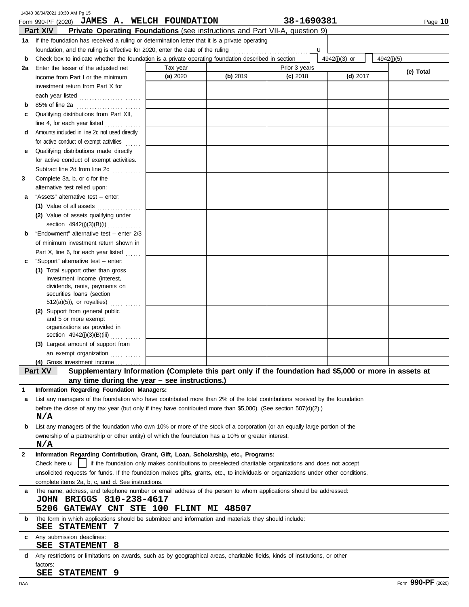|    | 14340 08/04/2021 10:30 AM Pg 15                                                                                                      |          |          |               |               |            |
|----|--------------------------------------------------------------------------------------------------------------------------------------|----------|----------|---------------|---------------|------------|
|    | Form 990-PF (2020) JAMES A. WELCH FOUNDATION                                                                                         |          |          | 38-1690381    |               | Page 10    |
|    | Part XIV<br>Private Operating Foundations (see instructions and Part VII-A, question 9)                                              |          |          |               |               |            |
|    | 1a If the foundation has received a ruling or determination letter that it is a private operating                                    |          |          |               |               |            |
|    | foundation, and the ruling is effective for 2020, enter the date of the ruling                                                       |          |          | u             |               |            |
| b  | Check box to indicate whether the foundation is a private operating foundation described in section                                  |          |          |               | 4942(j)(3) or | 4942(i)(5) |
| 2a | Enter the lesser of the adjusted net                                                                                                 | Tax year |          | Prior 3 years |               | (e) Total  |
|    | income from Part I or the minimum                                                                                                    | (a) 2020 | (b) 2019 | $(c)$ 2018    | $(d)$ 2017    |            |
|    | investment return from Part X for                                                                                                    |          |          |               |               |            |
|    | each year listed                                                                                                                     |          |          |               |               |            |
| b  | 85% of line 2a                                                                                                                       |          |          |               |               |            |
| c  | Qualifying distributions from Part XII,                                                                                              |          |          |               |               |            |
|    | line 4, for each year listed                                                                                                         |          |          |               |               |            |
| d  | Amounts included in line 2c not used directly                                                                                        |          |          |               |               |            |
|    | for active conduct of exempt activities                                                                                              |          |          |               |               |            |
| е  | Qualifying distributions made directly                                                                                               |          |          |               |               |            |
|    | for active conduct of exempt activities.                                                                                             |          |          |               |               |            |
|    | Subtract line 2d from line 2c                                                                                                        |          |          |               |               |            |
| 3  | Complete 3a, b, or c for the                                                                                                         |          |          |               |               |            |
|    | alternative test relied upon:                                                                                                        |          |          |               |               |            |
| а  | "Assets" alternative test - enter:                                                                                                   |          |          |               |               |            |
|    | (1) Value of all assets                                                                                                              |          |          |               |               |            |
|    | (2) Value of assets qualifying under                                                                                                 |          |          |               |               |            |
|    | section 4942(j)(3)(B)(i)                                                                                                             |          |          |               |               |            |
| b  | "Endowment" alternative test - enter 2/3                                                                                             |          |          |               |               |            |
|    | of minimum investment return shown in                                                                                                |          |          |               |               |            |
|    | Part X, line 6, for each year listed                                                                                                 |          |          |               |               |            |
| c  | "Support" alternative test - enter:                                                                                                  |          |          |               |               |            |
|    | (1) Total support other than gross                                                                                                   |          |          |               |               |            |
|    | investment income (interest,<br>dividends, rents, payments on                                                                        |          |          |               |               |            |
|    | securities loans (section                                                                                                            |          |          |               |               |            |
|    | $512(a)(5)$ , or royalties)<br>.                                                                                                     |          |          |               |               |            |
|    | (2) Support from general public                                                                                                      |          |          |               |               |            |
|    | and 5 or more exempt                                                                                                                 |          |          |               |               |            |
|    | organizations as provided in                                                                                                         |          |          |               |               |            |
|    | section 4942(j)(3)(B)(iii)                                                                                                           |          |          |               |               |            |
|    | (3) Largest amount of support from                                                                                                   |          |          |               |               |            |
|    | an exempt organization                                                                                                               |          |          |               |               |            |
|    | (4) Gross investment income<br>Supplementary Information (Complete this part only if the foundation had \$5,000 or more in assets at |          |          |               |               |            |
|    | Part XV<br>any time during the year $-$ see instructions.)                                                                           |          |          |               |               |            |
| 1  | Information Regarding Foundation Managers:                                                                                           |          |          |               |               |            |
| a  | List any managers of the foundation who have contributed more than 2% of the total contributions received by the foundation          |          |          |               |               |            |
|    | before the close of any tax year (but only if they have contributed more than \$5,000). (See section $507(d)(2)$ .)                  |          |          |               |               |            |
|    | N/A                                                                                                                                  |          |          |               |               |            |
| b  | List any managers of the foundation who own 10% or more of the stock of a corporation (or an equally large portion of the            |          |          |               |               |            |
|    | ownership of a partnership or other entity) of which the foundation has a 10% or greater interest.                                   |          |          |               |               |            |
|    | N/A                                                                                                                                  |          |          |               |               |            |
| 2  | Information Regarding Contribution, Grant, Gift, Loan, Scholarship, etc., Programs:                                                  |          |          |               |               |            |
|    | if the foundation only makes contributions to preselected charitable organizations and does not accept<br>Check here $\mathbf u$     |          |          |               |               |            |
|    | unsolicited requests for funds. If the foundation makes gifts, grants, etc., to individuals or organizations under other conditions, |          |          |               |               |            |
|    | complete items 2a, b, c, and d. See instructions.                                                                                    |          |          |               |               |            |
| a  | The name, address, and telephone number or email address of the person to whom applications should be addressed:                     |          |          |               |               |            |
|    | JOHN BRIGGS 810-238-4617                                                                                                             |          |          |               |               |            |
|    | 5206 GATEWAY CNT STE 100 FLINT MI 48507                                                                                              |          |          |               |               |            |
| b  | The form in which applications should be submitted and information and materials they should include:                                |          |          |               |               |            |
|    | - 7<br>SEE<br><b>STATEMENT</b>                                                                                                       |          |          |               |               |            |
| C  | Any submission deadlines:                                                                                                            |          |          |               |               |            |
|    | <b>STATEMENT</b><br>8<br>SEE                                                                                                         |          |          |               |               |            |
| d  | Any restrictions or limitations on awards, such as by geographical areas, charitable fields, kinds of institutions, or other         |          |          |               |               |            |
|    | factors:                                                                                                                             |          |          |               |               |            |
|    | SEE STATEMENT 9                                                                                                                      |          |          |               |               |            |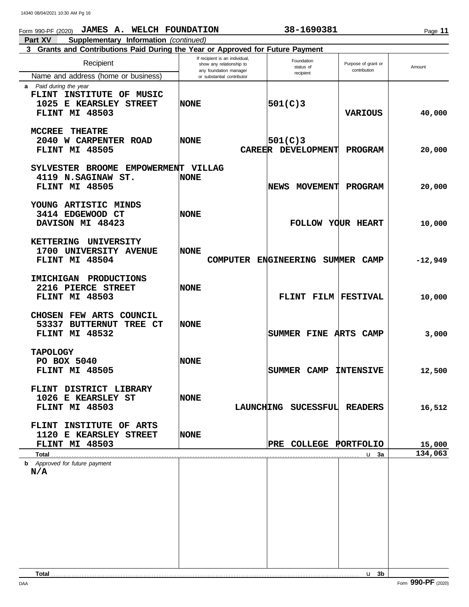### Form 990-PF (2020) **JAMES A. WELCH FOUNDATION 38-1690381**

**Part XV Supplementary Information** *(continued)* Г **3 Grants and Contributions Paid During the Year or Approved for Future Payment**

| Recipient                                                                                      | If recipient is an individual,<br>show any relationship to<br>any foundation manager | Foundation<br>status of        | Purpose of grant or<br>contribution | Amount    |
|------------------------------------------------------------------------------------------------|--------------------------------------------------------------------------------------|--------------------------------|-------------------------------------|-----------|
| Name and address (home or business)                                                            | or substantial contributor                                                           | recipient                      |                                     |           |
| a Paid during the year<br>FLINT INSTITUTE OF MUSIC<br>1025 E KEARSLEY STREET<br>FLINT MI 48503 | NONE                                                                                 | 501(C)3                        | <b>VARIOUS</b>                      | 40,000    |
| <b>MCCREE</b><br><b>THEATRE</b><br>2040 W CARPENTER ROAD<br>FLINT MI 48505                     | <b>NONE</b>                                                                          | 501(C)3<br>CAREER DEVELOPMENT  | <b>PROGRAM</b>                      | 20,000    |
| SYLVESTER BROOME<br><b>EMPOWERMENT</b><br>4119 N.SAGINAW ST.<br>FLINT MI 48505                 | <b>VILLAG</b><br><b>NONE</b>                                                         | <b>MOVEMENT</b><br><b>NEWS</b> | <b>PROGRAM</b>                      | 20,000    |
| YOUNG ARTISTIC MINDS<br>3414 EDGEWOOD CT<br>DAVISON MI 48423                                   | <b>NONE</b>                                                                          | FOLLOW YOUR HEART              |                                     | 10,000    |
| <b>KETTERING</b><br>UNIVERSITY<br>1700 UNIVERSITY AVENUE<br>FLINT MI 48504                     | <b>NONE</b><br><b>COMPUTER</b>                                                       | <b>ENGINEERING</b>             | SUMMER<br><b>CAMP</b>               | $-12,949$ |
| <b>IMICHIGAN</b><br><b>PRODUCTIONS</b><br>2216 PIERCE STREET<br>FLINT MI 48503                 | <b>NONE</b>                                                                          | FLINT FILM                     | <b>FESTIVAL</b>                     | 10,000    |
| <b>CHOSEN FEW ARTS</b><br>COUNCIL<br>53337<br><b>BUTTERNUT</b><br>TREE CT<br>FLINT MI 48532    | NONE                                                                                 | SUMMER FINE ARTS               | <b>CAMP</b>                         | 3,000     |
| <b>TAPOLOGY</b><br>PO BOX 5040<br>FLINT MI 48505                                               | <b>NONE</b>                                                                          | <b>CAMP</b><br>SUMMER          | <b>INTENSIVE</b>                    | 12,500    |
| <b>DISTRICT LIBRARY</b><br><b>FLINT</b><br>1026 E KEARSLEY ST<br>FLINT MI 48503                | <b>NONE</b>                                                                          | LAUNCHING SUCESSFUL READERS    |                                     | 16,512    |
| FLINT INSTITUTE OF ARTS<br>1120 E KEARSLEY STREET<br>FLINT MI 48503                            | <b>NONE</b>                                                                          | PRE COLLEGE PORTFOLIO          |                                     | 15,000    |
|                                                                                                |                                                                                      |                                | u <sub>3a</sub>                     | 134,063   |
| <b>b</b> Approved for future payment<br>N/A                                                    |                                                                                      |                                |                                     |           |

DAA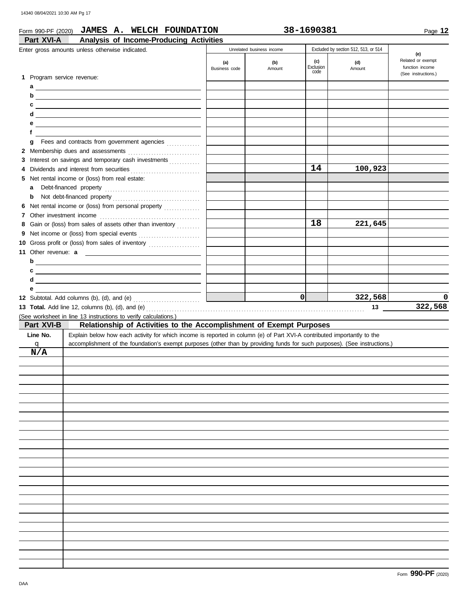| 14340 08/04/2021 10:30 AM Pg 17                                                                                                       |                      |                                            |                  |                                                       |                                             |
|---------------------------------------------------------------------------------------------------------------------------------------|----------------------|--------------------------------------------|------------------|-------------------------------------------------------|---------------------------------------------|
| Form 990-PF (2020) JAMES A. WELCH FOUNDATION                                                                                          |                      |                                            | 38-1690381       |                                                       | Page 12                                     |
| Analysis of Income-Producing Activities<br>Part XVI-A                                                                                 |                      |                                            |                  |                                                       |                                             |
| Enter gross amounts unless otherwise indicated.                                                                                       | (a)<br>Business code | Unrelated business income<br>(b)<br>Amount | (c)<br>Exclusion | Excluded by section 512, 513, or 514<br>(d)<br>Amount | (e)<br>Related or exempt<br>function income |
| 1 Program service revenue:<br>а<br><u> 1989 - Johann Barbara, martxa eta idazlea (h. 1989).</u>                                       |                      |                                            | code             |                                                       | (See instructions.)                         |
| b                                                                                                                                     |                      |                                            |                  |                                                       |                                             |
| c<br><u> 1989 - Johann Harry Harry Harry Harry Harry Harry Harry Harry Harry Harry Harry Harry Harry Harry Harry Harry</u>            |                      |                                            |                  |                                                       |                                             |
| d<br><u> 1989 - Johann Stoff, deutscher Stoffen und der Stoffen und der Stoffen und der Stoffen und der Stoffen und der</u>           |                      |                                            |                  |                                                       |                                             |
| е<br><u> 1980 - Johann Barn, amerikansk politiker (d. 1980)</u><br>f                                                                  |                      |                                            |                  |                                                       |                                             |
| Fees and contracts from government agencies<br>g                                                                                      |                      |                                            |                  |                                                       |                                             |
|                                                                                                                                       |                      |                                            |                  |                                                       |                                             |
| 3 Interest on savings and temporary cash investments                                                                                  |                      |                                            |                  |                                                       |                                             |
|                                                                                                                                       |                      |                                            | 14               | 100,923                                               |                                             |
| 5 Net rental income or (loss) from real estate:                                                                                       |                      |                                            |                  |                                                       |                                             |
| a                                                                                                                                     |                      |                                            |                  |                                                       |                                             |
| b                                                                                                                                     |                      |                                            |                  |                                                       |                                             |
| 6 Net rental income or (loss) from personal property                                                                                  |                      |                                            |                  |                                                       |                                             |
| 8 Gain or (loss) from sales of assets other than inventory                                                                            |                      |                                            | 18               | 221,645                                               |                                             |
|                                                                                                                                       |                      |                                            |                  |                                                       |                                             |
| 10 Gross profit or (loss) from sales of inventory                                                                                     |                      |                                            |                  |                                                       |                                             |
| 11 Other revenue: a                                                                                                                   |                      |                                            |                  |                                                       |                                             |
| b<br><u> 1989 - Johann Harry Harry Harry Harry Harry Harry Harry Harry Harry Harry Harry Harry Harry Harry Harry Harry</u>            |                      |                                            |                  |                                                       |                                             |
| c<br><u> 1989 - Johann Barbara, martxa alemaniar arg</u>                                                                              |                      |                                            |                  |                                                       |                                             |
| d                                                                                                                                     |                      |                                            |                  |                                                       |                                             |
| е                                                                                                                                     |                      |                                            | 0l               | 322,568                                               | 0                                           |
|                                                                                                                                       |                      |                                            |                  | 13                                                    | 322,568                                     |
| (See worksheet in line 13 instructions to verify calculations.)                                                                       |                      |                                            |                  |                                                       |                                             |
| Part XVI-B<br>Relationship of Activities to the Accomplishment of Exempt Purposes                                                     |                      |                                            |                  |                                                       |                                             |
| Line No.<br>Explain below how each activity for which income is reported in column (e) of Part XVI-A contributed importantly to the   |                      |                                            |                  |                                                       |                                             |
| accomplishment of the foundation's exempt purposes (other than by providing funds for such purposes). (See instructions.)<br><u>q</u> |                      |                                            |                  |                                                       |                                             |
| N/A                                                                                                                                   |                      |                                            |                  |                                                       |                                             |
|                                                                                                                                       |                      |                                            |                  |                                                       |                                             |
|                                                                                                                                       |                      |                                            |                  |                                                       |                                             |
|                                                                                                                                       |                      |                                            |                  |                                                       |                                             |
|                                                                                                                                       |                      |                                            |                  |                                                       |                                             |
|                                                                                                                                       |                      |                                            |                  |                                                       |                                             |
|                                                                                                                                       |                      |                                            |                  |                                                       |                                             |
|                                                                                                                                       |                      |                                            |                  |                                                       |                                             |
|                                                                                                                                       |                      |                                            |                  |                                                       |                                             |
|                                                                                                                                       |                      |                                            |                  |                                                       |                                             |
|                                                                                                                                       |                      |                                            |                  |                                                       |                                             |
|                                                                                                                                       |                      |                                            |                  |                                                       |                                             |
|                                                                                                                                       |                      |                                            |                  |                                                       |                                             |
|                                                                                                                                       |                      |                                            |                  |                                                       |                                             |
|                                                                                                                                       |                      |                                            |                  |                                                       |                                             |
|                                                                                                                                       |                      |                                            |                  |                                                       |                                             |
|                                                                                                                                       |                      |                                            |                  |                                                       |                                             |
|                                                                                                                                       |                      |                                            |                  |                                                       |                                             |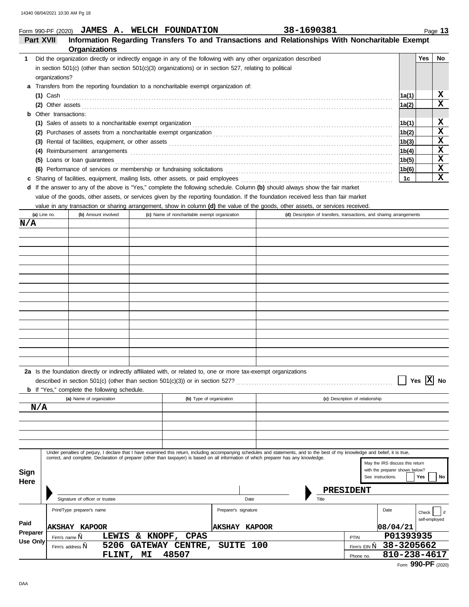#### Form 990-PF (2020) **JAMES A. WELCH FOUNDATION 38-1690381**

|  | 38-1690381 |
|--|------------|
|  |            |
|  |            |

Form **990-PF** (2020)

Phone no.

**FLINT, MI** 48507 **810-238-4617** 

| Part XVII       |                     | Information Regarding Transfers To and Transactions and Relationships With Noncharitable Exempt<br><b>Organizations</b>                                                                                                              |                                               |                      |      |       |                                                                      |                    |               |
|-----------------|---------------------|--------------------------------------------------------------------------------------------------------------------------------------------------------------------------------------------------------------------------------------|-----------------------------------------------|----------------------|------|-------|----------------------------------------------------------------------|--------------------|---------------|
| 1.              |                     | Did the organization directly or indirectly engage in any of the following with any other organization described                                                                                                                     |                                               |                      |      |       |                                                                      |                    | Yes<br>No     |
|                 |                     | in section $501(c)$ (other than section $501(c)(3)$ organizations) or in section 527, relating to political                                                                                                                          |                                               |                      |      |       |                                                                      |                    |               |
|                 | organizations?      |                                                                                                                                                                                                                                      |                                               |                      |      |       |                                                                      |                    |               |
|                 |                     | a Transfers from the reporting foundation to a noncharitable exempt organization of:                                                                                                                                                 |                                               |                      |      |       |                                                                      |                    |               |
|                 | $(1)$ Cash          |                                                                                                                                                                                                                                      |                                               |                      |      |       |                                                                      | 1a(1)              | x             |
|                 |                     | (2) Other assets <b>contract the contract of the contract of the contract of the contract of the contract of the contract of the contract of the contract of the contract of the contract of the contract of the contract of the</b> |                                               |                      |      |       |                                                                      | 1a(2)              | X             |
| b               | Other transactions: |                                                                                                                                                                                                                                      |                                               |                      |      |       |                                                                      |                    |               |
|                 |                     | (1) Sales of assets to a noncharitable exempt organization <b>consumer and all consumer and all consumer and a</b>                                                                                                                   |                                               |                      |      |       |                                                                      | 1b(1)              | x             |
|                 |                     |                                                                                                                                                                                                                                      |                                               |                      |      |       |                                                                      | 1b(2)              | X             |
|                 |                     |                                                                                                                                                                                                                                      |                                               |                      |      |       |                                                                      | 1 <sub>b</sub> (3) | X             |
|                 |                     |                                                                                                                                                                                                                                      |                                               |                      |      |       |                                                                      | 1b(4)              | x             |
|                 |                     | (5) Loans or loan guarantees                                                                                                                                                                                                         |                                               |                      |      |       |                                                                      | 1b(5)              | x             |
|                 |                     | (6) Performance of services or membership or fundraising solicitations [1] content content content of services or membership or fundraising solicitations [1] content content content of the service of the service of the ser       |                                               |                      |      |       |                                                                      | 1b(6)              | X             |
| c               |                     | Sharing of facilities, equipment, mailing lists, other assets, or paid employees                                                                                                                                                     |                                               |                      |      |       |                                                                      | 1с                 | X             |
|                 |                     | d If the answer to any of the above is "Yes," complete the following schedule. Column (b) should always show the fair market                                                                                                         |                                               |                      |      |       |                                                                      |                    |               |
|                 |                     | value of the goods, other assets, or services given by the reporting foundation. If the foundation received less than fair market                                                                                                    |                                               |                      |      |       |                                                                      |                    |               |
|                 |                     | value in any transaction or sharing arrangement, show in column (d) the value of the goods, other assets, or services received.                                                                                                      |                                               |                      |      |       |                                                                      |                    |               |
|                 | (a) Line no.        | (b) Amount involved                                                                                                                                                                                                                  | (c) Name of noncharitable exempt organization |                      |      |       | (d) Description of transfers, transactions, and sharing arrangements |                    |               |
| N/A             |                     |                                                                                                                                                                                                                                      |                                               |                      |      |       |                                                                      |                    |               |
|                 |                     |                                                                                                                                                                                                                                      |                                               |                      |      |       |                                                                      |                    |               |
|                 |                     |                                                                                                                                                                                                                                      |                                               |                      |      |       |                                                                      |                    |               |
|                 |                     |                                                                                                                                                                                                                                      |                                               |                      |      |       |                                                                      |                    |               |
|                 |                     |                                                                                                                                                                                                                                      |                                               |                      |      |       |                                                                      |                    |               |
|                 |                     |                                                                                                                                                                                                                                      |                                               |                      |      |       |                                                                      |                    |               |
|                 |                     |                                                                                                                                                                                                                                      |                                               |                      |      |       |                                                                      |                    |               |
|                 |                     |                                                                                                                                                                                                                                      |                                               |                      |      |       |                                                                      |                    |               |
|                 |                     |                                                                                                                                                                                                                                      |                                               |                      |      |       |                                                                      |                    |               |
|                 |                     |                                                                                                                                                                                                                                      |                                               |                      |      |       |                                                                      |                    |               |
|                 |                     |                                                                                                                                                                                                                                      |                                               |                      |      |       |                                                                      |                    |               |
|                 |                     |                                                                                                                                                                                                                                      |                                               |                      |      |       |                                                                      |                    |               |
|                 |                     |                                                                                                                                                                                                                                      |                                               |                      |      |       |                                                                      |                    |               |
|                 |                     |                                                                                                                                                                                                                                      |                                               |                      |      |       |                                                                      |                    |               |
|                 |                     |                                                                                                                                                                                                                                      |                                               |                      |      |       |                                                                      |                    |               |
|                 |                     |                                                                                                                                                                                                                                      |                                               |                      |      |       |                                                                      |                    |               |
|                 |                     | 2a Is the foundation directly or indirectly affiliated with, or related to, one or more tax-exempt organizations                                                                                                                     |                                               |                      |      |       |                                                                      |                    |               |
|                 |                     | described in section 501(c) (other than section $501(c)(3)$ ) or in section 527?                                                                                                                                                     |                                               |                      |      |       |                                                                      | Yes                | No<br>ΙĀ.     |
|                 |                     | <b>b</b> If "Yes," complete the following schedule.                                                                                                                                                                                  |                                               |                      |      |       |                                                                      |                    |               |
|                 |                     | (a) Name of organization                                                                                                                                                                                                             | (b) Type of organization                      |                      |      |       | (c) Description of relationship                                      |                    |               |
| N/A             |                     |                                                                                                                                                                                                                                      |                                               |                      |      |       |                                                                      |                    |               |
|                 |                     |                                                                                                                                                                                                                                      |                                               |                      |      |       |                                                                      |                    |               |
|                 |                     |                                                                                                                                                                                                                                      |                                               |                      |      |       |                                                                      |                    |               |
|                 |                     |                                                                                                                                                                                                                                      |                                               |                      |      |       |                                                                      |                    |               |
|                 |                     |                                                                                                                                                                                                                                      |                                               |                      |      |       |                                                                      |                    |               |
|                 |                     | Under penalties of perjury, I declare that I have examined this return, including accompanying schedules and statements, and to the best of my knowledge and belief, it is true,                                                     |                                               |                      |      |       |                                                                      |                    |               |
|                 |                     | correct, and complete. Declaration of preparer (other than taxpayer) is based on all information of which preparer has any knowledge.                                                                                                |                                               |                      |      |       | May the IRS discuss this return                                      |                    |               |
| Sign            |                     |                                                                                                                                                                                                                                      |                                               |                      |      |       | with the preparer shown below?                                       |                    |               |
| Here            |                     |                                                                                                                                                                                                                                      |                                               |                      |      |       | See instructions.                                                    | Yes                | No            |
|                 |                     |                                                                                                                                                                                                                                      |                                               |                      |      |       | <b>PRESIDENT</b>                                                     |                    |               |
|                 |                     | Signature of officer or trustee                                                                                                                                                                                                      |                                               |                      | Date | Title |                                                                      |                    |               |
|                 |                     |                                                                                                                                                                                                                                      |                                               |                      |      |       | Date                                                                 |                    |               |
|                 |                     | Print/Type preparer's name                                                                                                                                                                                                           |                                               | Preparer's signature |      |       |                                                                      |                    | Check         |
| Paid            |                     | <b>AKSHAY KAPOOR</b>                                                                                                                                                                                                                 |                                               | <b>AKSHAY KAPOOR</b> |      |       | 08/04/21                                                             |                    | self-employed |
| Preparer        |                     |                                                                                                                                                                                                                                      | LEWIS & KNOPF, CPAS                           |                      |      |       | P01393935<br>PTIN                                                    |                    |               |
| <b>Use Only</b> | Firm's name,        | Firm's address,                                                                                                                                                                                                                      | 5206 GATEWAY CENTRE,                          | SUITE 100            |      |       | 38-3205662<br>Firm's EIN,                                            |                    |               |
|                 |                     |                                                                                                                                                                                                                                      |                                               |                      |      |       |                                                                      |                    |               |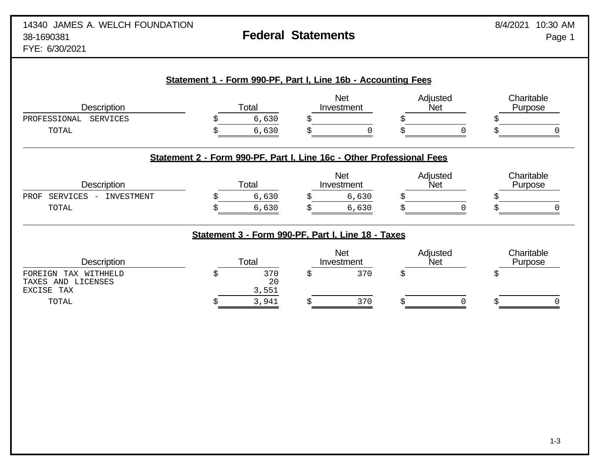| Description                                                    | Total                                                                 |                                                    | <b>Net</b><br>Investment | Adjusted<br><b>Net</b> |            | Charitable<br>Purpose |
|----------------------------------------------------------------|-----------------------------------------------------------------------|----------------------------------------------------|--------------------------|------------------------|------------|-----------------------|
| <b>SERVICES</b><br>PROFESSIONAL                                |                                                                       | 6,630                                              |                          |                        |            |                       |
| TOTAL                                                          |                                                                       | 6,630                                              |                          |                        | $\sqrt{ }$ |                       |
|                                                                | Statement 2 - Form 990-PF, Part I, Line 16c - Other Professional Fees |                                                    |                          |                        |            |                       |
| <b>Description</b>                                             | Total                                                                 |                                                    | <b>Net</b><br>Investment | Adjusted<br>Net        |            | Charitable<br>Purpose |
| INVESTMENT<br>PROF<br>SERVICES<br>$\sim$                       |                                                                       | 6,630                                              | 6,630                    |                        |            |                       |
| TOTAL                                                          |                                                                       | 6,630                                              | 6,630                    |                        |            |                       |
|                                                                |                                                                       | Statement 3 - Form 990-PF, Part I, Line 18 - Taxes |                          |                        |            |                       |
| <b>Description</b>                                             | Total                                                                 |                                                    | <b>Net</b><br>Investment | Adjusted<br><b>Net</b> |            | Charitable<br>Purpose |
|                                                                | \$                                                                    | 370<br>\$                                          | 370                      | \$                     |            | \$                    |
| TAX WITHHELD<br>FOREIGN<br>TAXES AND LICENSES<br>EXCISE<br>TAX |                                                                       | 20<br>3,551                                        |                          |                        |            |                       |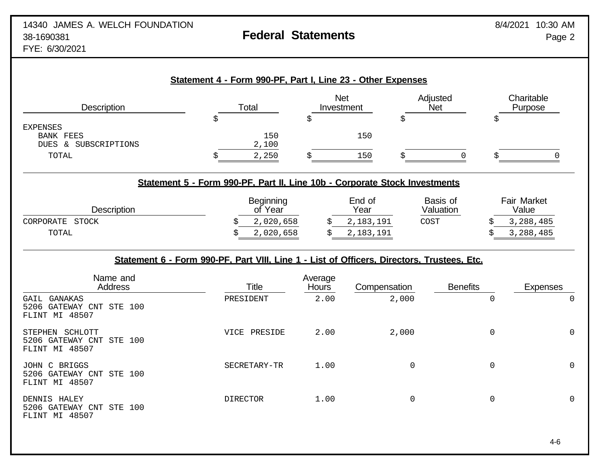|                                                                      | Statement 4 - Form 990-PF, Part I, Line 23 - Other Expenses                                                                                  |                          |                                          |                               |                                                       |
|----------------------------------------------------------------------|----------------------------------------------------------------------------------------------------------------------------------------------|--------------------------|------------------------------------------|-------------------------------|-------------------------------------------------------|
| <b>Description</b>                                                   | Total                                                                                                                                        | <b>Net</b><br>Investment |                                          | Adjusted<br><b>Net</b>        | Charitable<br>Purpose                                 |
| <b>EXPENSES</b><br><b>BANK FEES</b><br>DUES & SUBSCRIPTIONS<br>TOTAL | \$<br>150<br>2,100<br>\$<br>2,250                                                                                                            | \$<br>Š                  | \$<br>150<br>150<br>\$                   | 0                             | \$<br>$\overline{0}$<br>\$                            |
|                                                                      | Statement 5 - Form 990-PF, Part II, Line 10b - Corporate Stock Investments                                                                   |                          |                                          |                               |                                                       |
| Description<br>CORPORATE STOCK<br>TOTAL                              | Beginning<br>of Year<br>2,020,658<br>2,020,658<br>Statement 6 - Form 990-PF, Part VIII, Line 1 - List of Officers, Directors, Trustees, Etc. |                          | End of<br>Year<br>2,183,191<br>2,183,191 | Basis of<br>Valuation<br>COST | <b>Fair Market</b><br>Value<br>3,288,485<br>3,288,485 |
| Name and<br>Address                                                  | <b>Title</b>                                                                                                                                 | Average<br><b>Hours</b>  | Compensation                             | <b>Benefits</b>               | <b>Expenses</b>                                       |
| GAIL GANAKAS<br>5206 GATEWAY CNT STE 100<br>FLINT MI 48507           | PRESIDENT                                                                                                                                    | 2.00                     | 2,000                                    |                               | $\mathbf 0$<br>$\mathbf 0$                            |
| STEPHEN SCHLOTT<br>5206 GATEWAY CNT STE 100<br>FLINT MI 48507        | VICE PRESIDE                                                                                                                                 | 2.00                     | 2,000                                    |                               | $\mathsf 0$<br>0                                      |
| JOHN C BRIGGS<br>5206 GATEWAY CNT STE 100<br>FLINT MI 48507          | SECRETARY-TR                                                                                                                                 | 1.00                     | $\Omega$                                 |                               | 0<br>$\mathbf 0$                                      |
| DENNIS HALEY<br>5206 GATEWAY CNT STE 100<br>FLINT MI 48507           | <b>DIRECTOR</b>                                                                                                                              | 1.00                     | 0                                        |                               | 0<br>0                                                |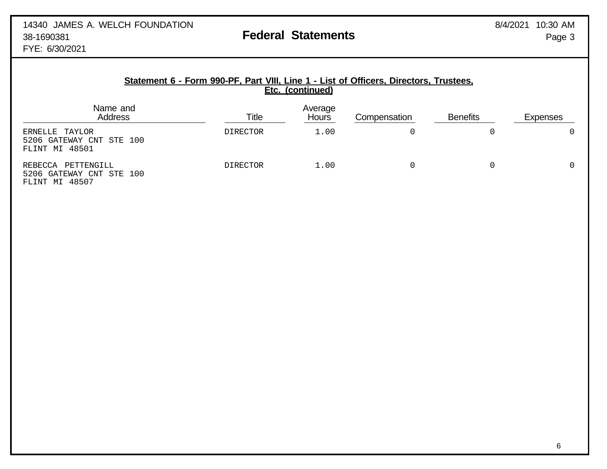### **Statement 6 - Form 990-PF, Part VIII, Line 1 - List of Officers, Directors, Trustees, Etc. (continued)**

| Name and<br>Address                                          | Title           | Average<br><b>Hours</b> | Compensation | <b>Benefits</b> | <b>Expenses</b> |
|--------------------------------------------------------------|-----------------|-------------------------|--------------|-----------------|-----------------|
| ERNELLE TAYLOR<br>5206 GATEWAY CNT STE 100<br>FLINT MI 48501 | <b>DIRECTOR</b> | 1.00                    |              |                 | 0               |
| PETTENGILL<br>REBECCA<br>5206 GATEWAY CNT STE 100            | <b>DIRECTOR</b> | 1.00                    |              |                 | 0               |

FLINT MI 48507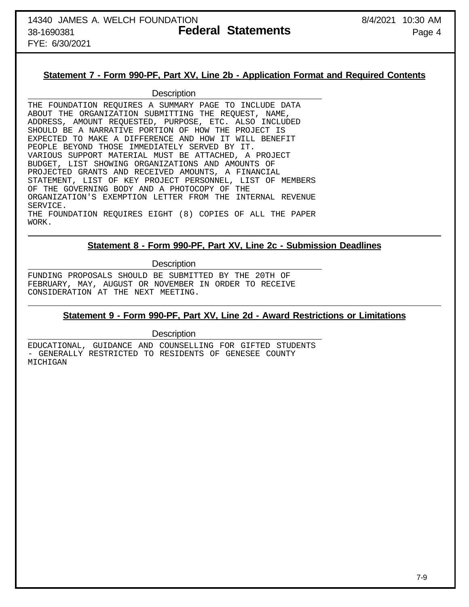FYE: 6/30/2021

### **Statement 7 - Form 990-PF, Part XV, Line 2b - Application Format and Required Contents**

#### **Description**

THE FOUNDATION REQUIRES A SUMMARY PAGE TO INCLUDE DATA ABOUT THE ORGANIZATION SUBMITTING THE REQUEST, NAME, ADDRESS, AMOUNT REQUESTED, PURPOSE, ETC. ALSO INCLUDED SHOULD BE A NARRATIVE PORTION OF HOW THE PROJECT IS EXPECTED TO MAKE A DIFFERENCE AND HOW IT WILL BENEFIT PEOPLE BEYOND THOSE IMMEDIATELY SERVED BY IT. VARIOUS SUPPORT MATERIAL MUST BE ATTACHED, A PROJECT BUDGET, LIST SHOWING ORGANIZATIONS AND AMOUNTS OF PROJECTED GRANTS AND RECEIVED AMOUNTS, A FINANCIAL STATEMENT, LIST OF KEY PROJECT PERSONNEL, LIST OF MEMBERS OF THE GOVERNING BODY AND A PHOTOCOPY OF THE ORGANIZATION'S EXEMPTION LETTER FROM THE INTERNAL REVENUE SERVICE. THE FOUNDATION REQUIRES EIGHT (8) COPIES OF ALL THE PAPER WORK.

#### **Statement 8 - Form 990-PF, Part XV, Line 2c - Submission Deadlines**

**Description** 

FUNDING PROPOSALS SHOULD BE SUBMITTED BY THE 20TH OF FEBRUARY, MAY, AUGUST OR NOVEMBER IN ORDER TO RECEIVE CONSIDERATION AT THE NEXT MEETING.

#### **Statement 9 - Form 990-PF, Part XV, Line 2d - Award Restrictions or Limitations**

**Description** 

EDUCATIONAL, GUIDANCE AND COUNSELLING FOR GIFTED STUDENTS - GENERALLY RESTRICTED TO RESIDENTS OF GENESEE COUNTY MICHIGAN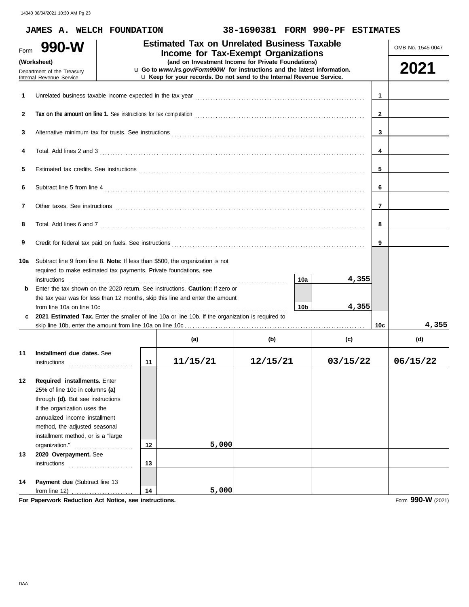|          | JAMES A. WELCH FOUNDATION                                                                                                                                                                                                                                                                                                                    |          |                                                                                                                                                                                                          | 38-1690381 FORM 990-PF ESTIMATES |     |                 |              |                   |
|----------|----------------------------------------------------------------------------------------------------------------------------------------------------------------------------------------------------------------------------------------------------------------------------------------------------------------------------------------------|----------|----------------------------------------------------------------------------------------------------------------------------------------------------------------------------------------------------------|----------------------------------|-----|-----------------|--------------|-------------------|
| Form     | 990-W                                                                                                                                                                                                                                                                                                                                        |          | <b>Estimated Tax on Unrelated Business Taxable</b><br>Income for Tax-Exempt Organizations                                                                                                                |                                  |     |                 |              | OMB No. 1545-0047 |
|          | (Worksheet)<br>Department of the Treasury<br>Internal Revenue Service                                                                                                                                                                                                                                                                        |          | (and on Investment Income for Private Foundations)<br>u Go to www.irs.gov/Form990W for instructions and the latest information.<br>u Keep for your records. Do not send to the Internal Revenue Service. |                                  |     |                 |              | 2021              |
| 1        |                                                                                                                                                                                                                                                                                                                                              |          |                                                                                                                                                                                                          |                                  |     |                 | $\mathbf 1$  |                   |
| 2        |                                                                                                                                                                                                                                                                                                                                              |          |                                                                                                                                                                                                          |                                  |     |                 | $\mathbf{2}$ |                   |
| 3        |                                                                                                                                                                                                                                                                                                                                              |          |                                                                                                                                                                                                          |                                  |     |                 | 3            |                   |
| 4        |                                                                                                                                                                                                                                                                                                                                              |          |                                                                                                                                                                                                          |                                  |     |                 | 4            |                   |
| 5        |                                                                                                                                                                                                                                                                                                                                              |          |                                                                                                                                                                                                          |                                  |     |                 | 5            |                   |
| 6        |                                                                                                                                                                                                                                                                                                                                              |          |                                                                                                                                                                                                          |                                  |     |                 | 6            |                   |
| 7        | Other taxes. See instructions <b>constructions constructions constructions constructions constructions</b>                                                                                                                                                                                                                                   |          |                                                                                                                                                                                                          |                                  |     |                 | 7            |                   |
| 8        |                                                                                                                                                                                                                                                                                                                                              |          |                                                                                                                                                                                                          |                                  |     |                 | 8            |                   |
| 9        |                                                                                                                                                                                                                                                                                                                                              |          |                                                                                                                                                                                                          |                                  |     |                 | 9            |                   |
| 10a<br>b | Subtract line 9 from line 8. Note: If less than \$500, the organization is not<br>required to make estimated tax payments. Private foundations, see<br>instructions<br>Enter the tax shown on the 2020 return. See instructions. <b>Caution:</b> If zero or<br>the tax year was for less than 12 months, skip this line and enter the amount |          |                                                                                                                                                                                                          |                                  | 10a | 4,355           |              |                   |
| c        | from line 10a on line 10c<br>2021 Estimated Tax. Enter the smaller of line 10a or line 10b. If the organization is required to                                                                                                                                                                                                               |          |                                                                                                                                                                                                          |                                  | 10b | 4,355           |              |                   |
|          |                                                                                                                                                                                                                                                                                                                                              |          |                                                                                                                                                                                                          |                                  |     |                 | 10c          | 4,355             |
| 11       | Installment due dates. See<br>instructions                                                                                                                                                                                                                                                                                                   | 11       | (a)<br>11/15/21                                                                                                                                                                                          | (b)<br>12/15/21                  |     | (c)<br>03/15/22 |              | (d)<br>06/15/22   |
| 12       | Required installments. Enter<br>25% of line 10c in columns (a)<br>through (d). But see instructions<br>if the organization uses the<br>annualized income installment<br>method, the adjusted seasonal<br>installment method, or is a "large<br>organization."                                                                                | 12       | 5,000                                                                                                                                                                                                    |                                  |     |                 |              |                   |
| 13       | 2020 Overpayment. See                                                                                                                                                                                                                                                                                                                        |          |                                                                                                                                                                                                          |                                  |     |                 |              |                   |
| 14       | instructions<br>Payment due (Subtract line 13<br>from line $12)$                                                                                                                                                                                                                                                                             | 13<br>14 | 5,000                                                                                                                                                                                                    |                                  |     |                 |              |                   |

**For Paperwork Reduction Act Notice, see instructions.**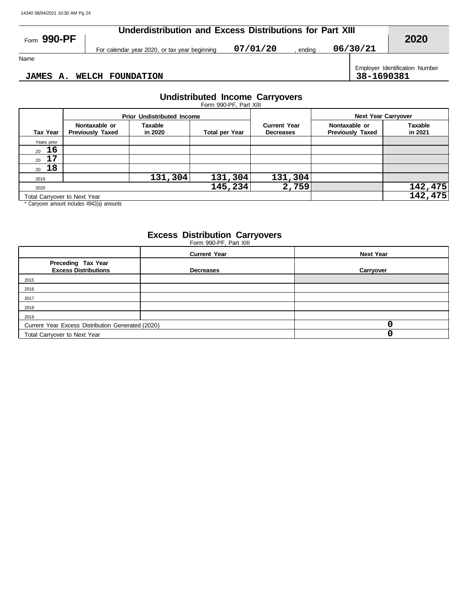| Form 990-PF        |                                               | Underdistribution and Excess Distributions for Part XIII |        |          |                                              |  |  |  |  |  |
|--------------------|-----------------------------------------------|----------------------------------------------------------|--------|----------|----------------------------------------------|--|--|--|--|--|
|                    | For calendar year 2020, or tax year beginning | 07/01/20                                                 | endina | 06/30/21 | 2020                                         |  |  |  |  |  |
| Name               |                                               |                                                          |        |          |                                              |  |  |  |  |  |
| <b>JAMES</b><br>А. | <b>WELCH FOUNDATION</b>                       |                                                          |        |          | Employer Identification Number<br>38-1690381 |  |  |  |  |  |

#### **JAMES A. WELCH FOUNDATION 38-1690381**

#### **Undistributed Income Carryovers**

|                 |                                          |                                   | Form 990-PF, Part XIII |                                         |                                          |                           |  |
|-----------------|------------------------------------------|-----------------------------------|------------------------|-----------------------------------------|------------------------------------------|---------------------------|--|
|                 |                                          | <b>Prior Undistributed Income</b> |                        |                                         | <b>Next Year Carryover</b>               |                           |  |
| <b>Tax Year</b> | Nontaxable or<br><b>Previously Taxed</b> | Taxable<br>in 2020                | <b>Total per Year</b>  | <b>Current Year</b><br><b>Decreases</b> | Nontaxable or<br><b>Previously Taxed</b> | <b>Taxable</b><br>in 2021 |  |
| Years prior     |                                          |                                   |                        |                                         |                                          |                           |  |
| 16<br>20        |                                          |                                   |                        |                                         |                                          |                           |  |
| 17<br>20        |                                          |                                   |                        |                                         |                                          |                           |  |
| 18<br>20        |                                          |                                   |                        |                                         |                                          |                           |  |
| 2019            |                                          | 131,304                           | 131,304                | 131,304                                 |                                          |                           |  |
| 2020            |                                          |                                   | 2,759                  |                                         | 142,475                                  |                           |  |
|                 | Total Carryover to Next Year             |                                   |                        | 142,475                                 |                                          |                           |  |

\* Carryover amount includes 4942(a) amounts

#### **Excess Distribution Carryovers**

Form 990-PF, Part XIII

|                                                   | <b>Current Year</b> | <b>Next Year</b> |
|---------------------------------------------------|---------------------|------------------|
| Preceding Tax Year<br><b>Excess Distributions</b> | <b>Decreases</b>    | Carryover        |
| 2015                                              |                     |                  |
| 2016                                              |                     |                  |
| 2017                                              |                     |                  |
| 2018                                              |                     |                  |
| 2019                                              |                     |                  |
| Current Year Excess Distribution Generated (2020) |                     |                  |
| Total Carryover to Next Year                      |                     |                  |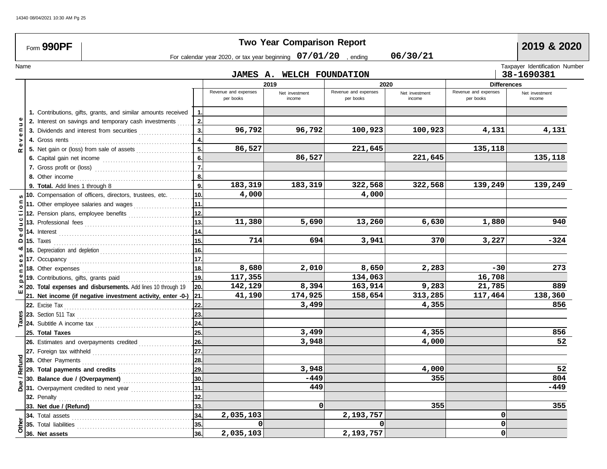|        | Form 990PF                      |                                                                    |                |                                                                   | <b>Two Year Comparison Report</b> |                                   |                          |                                   | 2019 & 2020                    |
|--------|---------------------------------|--------------------------------------------------------------------|----------------|-------------------------------------------------------------------|-----------------------------------|-----------------------------------|--------------------------|-----------------------------------|--------------------------------|
|        |                                 |                                                                    |                | For calendar year 2020, or tax year beginning $07/01/20$ , ending |                                   |                                   | 06/30/21                 |                                   |                                |
| Name   |                                 |                                                                    |                |                                                                   |                                   |                                   |                          |                                   | Taxpayer Identification Number |
|        |                                 |                                                                    |                |                                                                   | JAMES A. WELCH FOUNDATION         |                                   |                          |                                   | 38-1690381                     |
|        |                                 |                                                                    |                | 2019                                                              |                                   |                                   | 2020                     | <b>Differences</b>                |                                |
|        |                                 |                                                                    |                | Revenue and expenses<br>per books                                 | Net investment<br>income          | Revenue and expenses<br>per books | Net investment<br>income | Revenue and expenses<br>per books | Net investment<br>income       |
|        |                                 | 1. Contributions, gifts, grants, and similar amounts received      | -1.            |                                                                   |                                   |                                   |                          |                                   |                                |
|        |                                 | 2. Interest on savings and temporary cash investments              | 2.             |                                                                   |                                   |                                   |                          |                                   |                                |
|        |                                 | 3. Dividends and interest from securities                          | 3.             | 96,792                                                            | 96,792                            | 100,923                           | 100,923                  | 4,131                             | 4,131                          |
| >      |                                 |                                                                    | 4.             |                                                                   |                                   |                                   |                          |                                   |                                |
| œ      |                                 | 5. Net gain or (loss) from sale of assets                          | 5.             | 86,527                                                            |                                   | 221,645                           |                          | 135,118                           |                                |
|        |                                 |                                                                    | 6.             |                                                                   | 86,527                            |                                   | 221,645                  |                                   | 135,118                        |
|        |                                 |                                                                    | $\overline{7}$ |                                                                   |                                   |                                   |                          |                                   |                                |
|        |                                 |                                                                    | 8.             |                                                                   |                                   |                                   |                          |                                   |                                |
|        | 9. Total. Add lines 1 through 8 |                                                                    | 9.             | 183,319                                                           | 183,319                           | 322,568                           | 322,568                  | 139,249                           | 139,249                        |
|        |                                 | 10. Compensation of officers, directors, trustees, etc.            | 10.            | 4,000                                                             |                                   | 4,000                             |                          |                                   |                                |
|        |                                 | 11. Other employee salaries and wages                              | 11.            |                                                                   |                                   |                                   |                          |                                   |                                |
|        |                                 | 12. Pension plans, employee benefits                               | 12.            |                                                                   |                                   |                                   |                          |                                   |                                |
|        |                                 |                                                                    | 13.            | 11,380                                                            | 5,690                             | 13,260                            | 6,630                    | 1,880                             | 940                            |
|        |                                 |                                                                    | 14.            |                                                                   |                                   |                                   |                          |                                   |                                |
| ۵      |                                 |                                                                    | 15.            | 714                                                               | 694                               | 3,941                             | 370                      | 3,227                             | $-324$                         |
|        |                                 |                                                                    | 16.            |                                                                   |                                   |                                   |                          |                                   |                                |
|        |                                 |                                                                    | 17.            |                                                                   |                                   |                                   |                          |                                   |                                |
|        |                                 |                                                                    | 18.            | 8,680                                                             | 2,010                             | 8,650                             | 2,283                    | $-30$                             | 273                            |
|        |                                 | 19. Contributions, gifts, grants paid                              | 19.            | 117,355                                                           |                                   | 134,063                           |                          | 16,708                            |                                |
|        |                                 | 20. Total expenses and disbursements. Add lines 10 through 19      | 20.            | 142,129                                                           | 8,394                             | 163,914                           | 9,283                    | 21,785                            | 889                            |
|        |                                 | 21. Net income (if negative investment activity, enter -0-)        | 21.            | 41,190                                                            | 174,925                           | 158,654                           | 313,285                  | 117,464                           | 138,360                        |
|        |                                 |                                                                    | 22.            |                                                                   | 3,499                             |                                   | 4,355                    |                                   | 856                            |
|        |                                 |                                                                    | 23.            |                                                                   |                                   |                                   |                          |                                   |                                |
|        |                                 |                                                                    | 24.            |                                                                   |                                   |                                   |                          |                                   |                                |
|        | 25. Total Taxes                 |                                                                    | 25.            |                                                                   | 3,499                             |                                   | 4,355                    |                                   | 856                            |
|        |                                 | 26. Estimates and overpayments credited                            | 26.            |                                                                   | 3,948                             |                                   | 4,000                    |                                   | 52                             |
|        |                                 |                                                                    | 27.            |                                                                   |                                   |                                   |                          |                                   |                                |
| Refund | 28. Other Payments              |                                                                    | 28.            |                                                                   |                                   |                                   |                          |                                   |                                |
|        |                                 | 29. Total payments and credits <b>Communist Communist Property</b> | 29.            |                                                                   | 3,948                             |                                   | 4,000                    |                                   | 52                             |
|        | 30. Balance due / (Overpayment) |                                                                    | 30.            |                                                                   | -449                              |                                   | 355                      |                                   | 804                            |
|        |                                 | $\frac{9}{6}$ 31. Overpayment credited to next year                | 31.            |                                                                   | 449                               |                                   |                          |                                   | $-449$                         |
|        | 32. Penalty                     |                                                                    | 32.            |                                                                   |                                   |                                   |                          |                                   |                                |
|        | 33. Net due / (Refund)          |                                                                    | 33.            |                                                                   | $\mathbf{0}$                      |                                   | 355                      |                                   | 355                            |
|        | 34. Total assets                |                                                                    | 34.            | 2,035,103                                                         |                                   | 2,193,757                         |                          | 0                                 |                                |
| Other  | 35. Total liabilities           |                                                                    | 35.            | 0                                                                 |                                   | $\Omega$                          |                          | $\Omega$                          |                                |
|        | 36. Net assets                  |                                                                    | 36.            | 2,035,103                                                         |                                   | 2,193,757                         |                          | 0                                 |                                |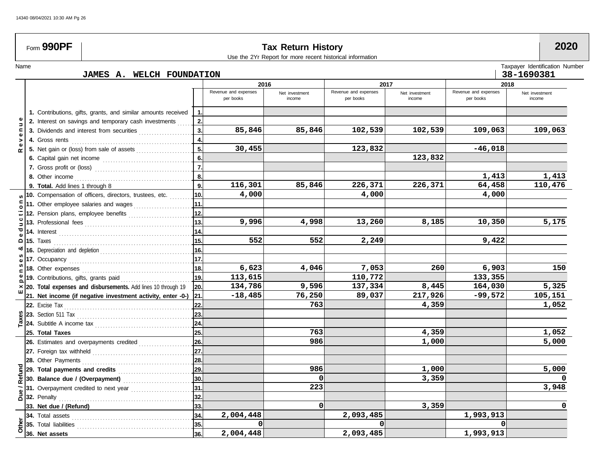$\sqrt{ }$ 

| Form 990PF            |                                 | <b>Tax Return History</b><br>Use the 2Yr Report for more recent historical information |                  |                                   |                          |                                   |                          |                                   |                                |  |
|-----------------------|---------------------------------|----------------------------------------------------------------------------------------|------------------|-----------------------------------|--------------------------|-----------------------------------|--------------------------|-----------------------------------|--------------------------------|--|
| Name                  |                                 |                                                                                        |                  |                                   |                          |                                   |                          |                                   | Taxpayer Identification Number |  |
|                       |                                 | JAMES A. WELCH FOUNDATION                                                              |                  |                                   |                          |                                   |                          |                                   | 38-1690381                     |  |
|                       |                                 |                                                                                        |                  | 2016                              |                          | 2017                              |                          | 2018                              |                                |  |
|                       |                                 |                                                                                        |                  | Revenue and expenses<br>per books | Net investment<br>income | Revenue and expenses<br>per books | Net investment<br>income | Revenue and expenses<br>per books | Net investment<br>income       |  |
|                       |                                 | 1. Contributions, gifts, grants, and similar amounts received                          | -1.              |                                   |                          |                                   |                          |                                   |                                |  |
|                       |                                 | 2. Interest on savings and temporary cash investments                                  | 2.               |                                   |                          |                                   |                          |                                   |                                |  |
| c                     |                                 | 3. Dividends and interest from securities                                              | 3.               | 85,846                            | 85,846                   | 102,539                           | 102,539                  | 109,063                           | 109,063                        |  |
| Φ<br>>                |                                 |                                                                                        | 4.               |                                   |                          |                                   |                          |                                   |                                |  |
| Φ                     |                                 | 5. Net gain or (loss) from sale of assets                                              | 5 <sub>1</sub>   | 30,455                            |                          | 123,832                           |                          | $-46,018$                         |                                |  |
|                       |                                 |                                                                                        | 6.               |                                   |                          |                                   | 123,832                  |                                   |                                |  |
|                       |                                 |                                                                                        | $\overline{7}$ . |                                   |                          |                                   |                          |                                   |                                |  |
|                       |                                 |                                                                                        | 8.               |                                   |                          |                                   |                          | 1,413                             | 1,413                          |  |
|                       | 9. Total. Add lines 1 through 8 |                                                                                        | 9 <sub>1</sub>   | 116,301                           | 85,846                   | 226,371                           | 226,371                  | 64,458                            | 110,476                        |  |
|                       |                                 | 10. Compensation of officers, directors, trustees, etc.                                | 10.              | 4,000                             |                          | 4,000                             |                          | 4,000                             |                                |  |
|                       |                                 | 11. Other employee salaries and wages                                                  | 11.              |                                   |                          |                                   |                          |                                   |                                |  |
|                       |                                 |                                                                                        | 12.              |                                   |                          |                                   |                          |                                   |                                |  |
|                       |                                 |                                                                                        | 13.              | 9,996                             | 4,998                    | 13,260                            | 8,185                    | 10,350                            | 5,175                          |  |
| ಠ                     |                                 |                                                                                        | 14.              |                                   |                          |                                   |                          |                                   |                                |  |
| <b>15.</b> Taxes<br>۵ |                                 |                                                                                        | 15.              | 552                               | 552                      | 2,249                             |                          | 9,422                             |                                |  |
|                       |                                 |                                                                                        | 16.              |                                   |                          |                                   |                          |                                   |                                |  |
|                       |                                 |                                                                                        | 17.              |                                   |                          |                                   |                          |                                   |                                |  |
|                       |                                 |                                                                                        | 18.              | 6,623                             | 4,046                    | 7,053                             | 260                      | 6,903                             | 150                            |  |
|                       |                                 | 19. Contributions, gifts, grants paid                                                  | 19.              | 113,615                           |                          | 110,772                           |                          | 133,355                           |                                |  |
|                       |                                 | 20. Total expenses and disbursements. Add lines 10 through 19                          | 20.              | 134,786                           | 9,596                    | 137,334                           | 8,445                    | 164,030                           | 5,325                          |  |
|                       |                                 | 21. Net income (if negative investment activity, enter -0-) 21.                        |                  | $-18,485$                         | 76,250                   | 89,037                            | 217,926                  | $-99,572$                         | 105,151                        |  |
|                       |                                 |                                                                                        | 22.              |                                   | 763                      |                                   | 4,359                    |                                   | 1,052                          |  |
|                       |                                 |                                                                                        | 23.              |                                   |                          |                                   |                          |                                   |                                |  |
|                       |                                 | 24. Subtitle A income tax                                                              | 24.              |                                   |                          |                                   |                          |                                   |                                |  |
|                       | 25. Total Taxes                 |                                                                                        | 25.              |                                   | 763                      |                                   | 4,359                    |                                   | 1,052                          |  |
|                       |                                 | 26. Estimates and overpayments credited                                                | 26.              |                                   | 986                      |                                   | 1,000                    |                                   | 5,000                          |  |
|                       |                                 |                                                                                        | 27.              |                                   |                          |                                   |                          |                                   |                                |  |
|                       | 28. Other Payments              |                                                                                        | 28.              |                                   |                          |                                   |                          |                                   |                                |  |
|                       | 29. Total payments and credits  |                                                                                        | 29.              |                                   | 986                      |                                   | 1,000                    |                                   | 5,000                          |  |
| Refund                |                                 | 30. Balance due / (Overpayment)                                                        | 30.              |                                   | 0                        |                                   | 3,359                    |                                   |                                |  |
|                       |                                 |                                                                                        | 31.              |                                   | 223                      |                                   |                          |                                   | 3,948                          |  |
|                       |                                 |                                                                                        | 32.              |                                   |                          |                                   |                          |                                   |                                |  |
|                       | 33. Net due / (Refund)          |                                                                                        | 33.              |                                   | 0                        |                                   | 3,359                    |                                   |                                |  |
|                       |                                 | <b>34.</b> Total assets <b>Constitution 194.</b> Total assets                          | 34.              | 2,004,448                         |                          | 2,093,485                         |                          | 1,993,913                         |                                |  |
|                       |                                 | 35. Total liabilities                                                                  | 35.              | $\Omega$                          |                          |                                   |                          |                                   |                                |  |
| Other                 | 36. Net assets                  |                                                                                        | 36.              | 2,004,448                         |                          | 2,093,485                         |                          | 1,993,913                         |                                |  |
|                       |                                 |                                                                                        |                  |                                   |                          |                                   |                          |                                   |                                |  |

**The State**